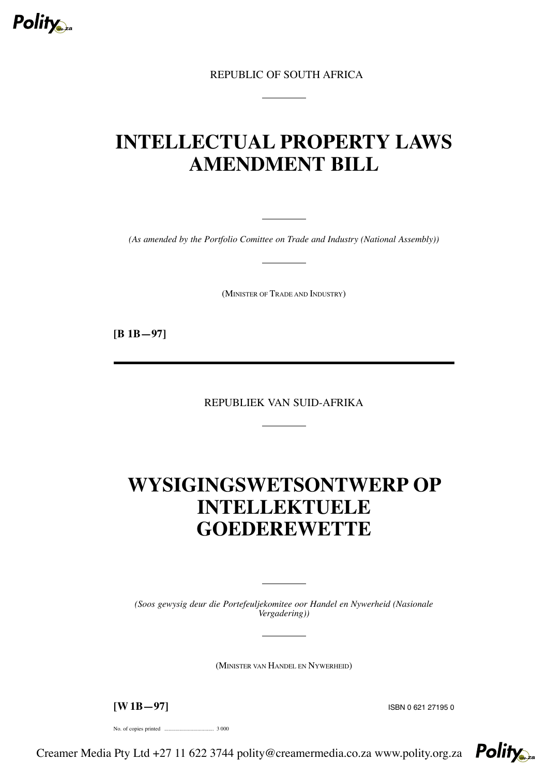

REPUBLIC OF SOUTH AFRICA

# **INTELLECTUAL PROPERTY LAWS AMENDMENT BILL**

*(As amended by the Portfolio Comittee on Trade and Industry (National Assembly))*

(MINISTER OF TRADE AND INDUSTRY)

**[B 1B—97]**

REPUBLIEK VAN SUID-AFRIKA

# **WYSIGINGSWETSONTWERP OP INTELLEKTUELE GOEDEREWETTE**

*(Soos gewysig deur die Portefeuljekomitee oor Handel en Nywerheid (Nasionale Vergadering))*

(MINISTER VAN HANDEL EN NYWERHEID)

**[W 1B—97]** ISBN <sup>0</sup> <sup>621</sup> <sup>27195</sup> <sup>0</sup>

No. of copies printed .................................... 3 000

Creamer Media Pty Ltd +27 11 622 3744 polity@creamermedia.co.za www.polity.org.za

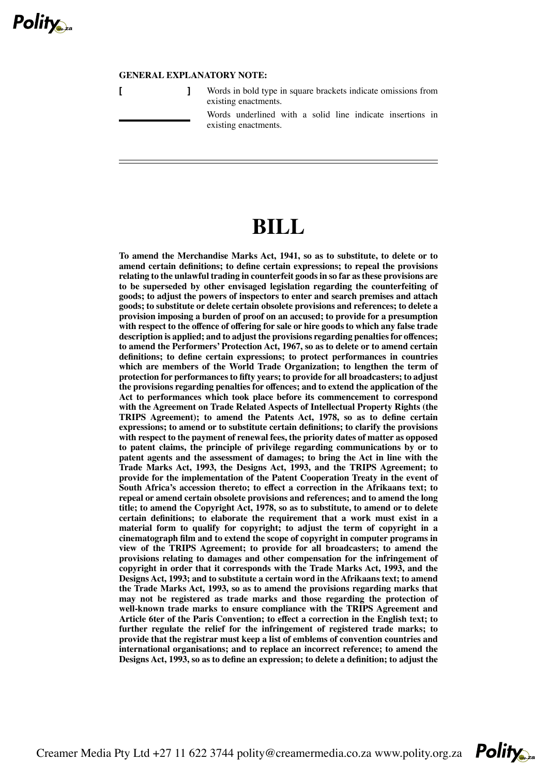

# **GENERAL EXPLANATORY NOTE:**

| Words in bold type in square brackets indicate omissions from<br>existing enactments. |
|---------------------------------------------------------------------------------------|
| Words underlined with a solid line indicate insertions in<br>existing enactments.     |

# **BILL**

**To amend the Merchandise Marks Act, 1941, so as to substitute, to delete or to amend certain definitions; to define certain expressions; to repeal the provisions relating to the unlawful trading in counterfeit goodsin so far asthese provisions are to be superseded by other envisaged legislation regarding the counterfeiting of goods; to adjust the powers of inspectors to enter and search premises and attach goods; to substitute or delete certain obsolete provisions and references; to delete a provision imposing a burden of proof on an accused; to provide for a presumption with respect to the offence of offering for sale or hire goods to which any false trade description is applied; and to adjust the provisions regarding penaltiesfor offences; to amend the Performers' Protection Act, 1967, so as to delete or to amend certain definitions; to define certain expressions; to protect performances in countries which are members of the World Trade Organization; to lengthen the term of protection for performances to fifty years; to provide for all broadcasters; to adjust the provisions regarding penalties for offences; and to extend the application of the Act to performances which took place before its commencement to correspond with the Agreement on Trade Related Aspects of Intellectual Property Rights (the TRIPS Agreement); to amend the Patents Act, 1978, so as to define certain expressions; to amend or to substitute certain definitions; to clarify the provisions with respect to the payment of renewal fees, the priority dates of matter as opposed to patent claims, the principle of privilege regarding communications by or to patent agents and the assessment of damages; to bring the Act in line with the Trade Marks Act, 1993, the Designs Act, 1993, and the TRIPS Agreement; to provide for the implementation of the Patent Cooperation Treaty in the event of South Africa's accession thereto; to effect a correction in the Afrikaans text; to repeal or amend certain obsolete provisions and references; and to amend the long title; to amend the Copyright Act, 1978, so as to substitute, to amend or to delete certain definitions; to elaborate the requirement that a work must exist in a material form to qualify for copyright; to adjust the term of copyright in a cinematograph film and to extend the scope of copyright in computer programs in view of the TRIPS Agreement; to provide for all broadcasters; to amend the provisions relating to damages and other compensation for the infringement of copyright in order that it corresponds with the Trade Marks Act, 1993, and the Designs Act, 1993; and to substitute a certain word in the Afrikaans text; to amend the Trade Marks Act, 1993, so as to amend the provisions regarding marks that may not be registered as trade marks and those regarding the protection of well-known trade marks to ensure compliance with the TRIPS Agreement and Article 6ter of the Paris Convention; to effect a correction in the English text; to further regulate the relief for the infringement of registered trade marks; to provide that the registrar must keep a list of emblems of convention countries and international organisations; and to replace an incorrect reference; to amend the Designs Act, 1993, so as to define an expression; to delete a definition; to adjust the**

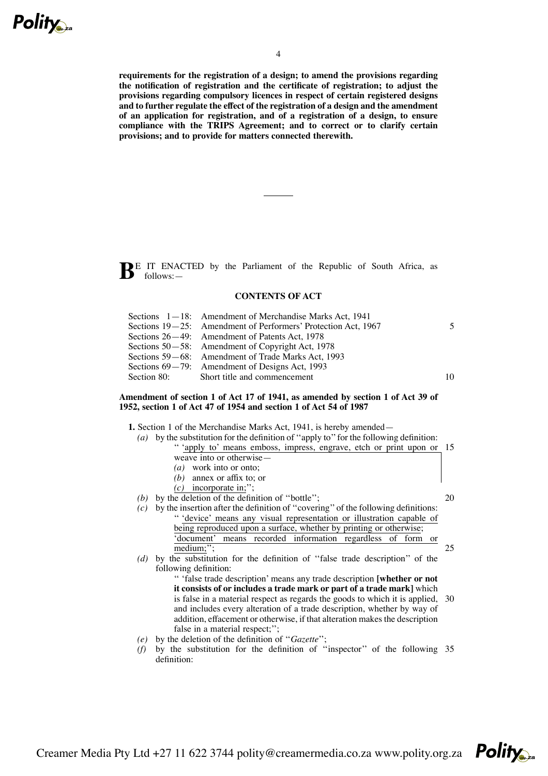

**requirements for the registration of a design; to amend the provisions regarding the notification of registration and the certificate of registration; to adjust the provisions regarding compulsory licences in respect of certain registered designs and to further regulate the effect of the registration of a design and the amendment of an application for registration, and of a registration of a design, to ensure compliance with the TRIPS Agreement; and to correct or to clarify certain provisions; and to provide for matters connected therewith.**

**BE** IT ENACTED by the Parliament of the Republic of South Africa, as follows:—

# **CONTENTS OF ACT**

| Sections $1-18$ : Amendment of Merchandise Marks Act, 1941    |    |
|---------------------------------------------------------------|----|
| Sections 19–25: Amendment of Performers' Protection Act, 1967 |    |
| Sections 26–49: Amendment of Patents Act, 1978                |    |
| Sections 50–58: Amendment of Copyright Act, 1978              |    |
| Sections 59–68: Amendment of Trade Marks Act, 1993            |    |
| Sections $69-79$ : Amendment of Designs Act, 1993             |    |
| Section 80: Short title and commencement                      | 10 |

## **Amendment of section 1 of Act 17 of 1941, as amended by section 1 of Act 39 of 1952, section 1 of Act 47 of 1954 and section 1 of Act 54 of 1987**

**1.** Section 1 of the Merchandise Marks Act, 1941, is hereby amended—

- *(a)* by the substitution for the definition of ''apply to''for the following definition: '' 'apply to' means emboss, impress, engrave, etch or print upon or 15 weave into or otherwise— *(a)* work into or onto; *(b)* annex or affix to; or *(c)* incorporate in;''; *(b)* by the deletion of the definition of ''bottle''; *(c)* by the insertion after the definition of ''covering'' of the following definitions: '' 'device' means any visual representation or illustration capable of being reproduced upon a surface, whether by printing or otherwise; 'document' means recorded information regardless of form or medium;"; *(d)* by the substitution for the definition of ''false trade description'' of the following definition: '' 'false trade description' means any trade description **[whether or not** 20 25
	- **it consists of or includes a trade mark or part of a trade mark]** which is false in a material respect as regards the goods to which it is applied, and includes every alteration of a trade description, whether by way of addition, effacement or otherwise, if that alteration makes the description false in a material respect;"; 30

**Polity** 

- *(e)* by the deletion of the definition of ''*Gazette*'';
- *(f)* by the substitution for the definition of ''inspector'' of the following 35definition: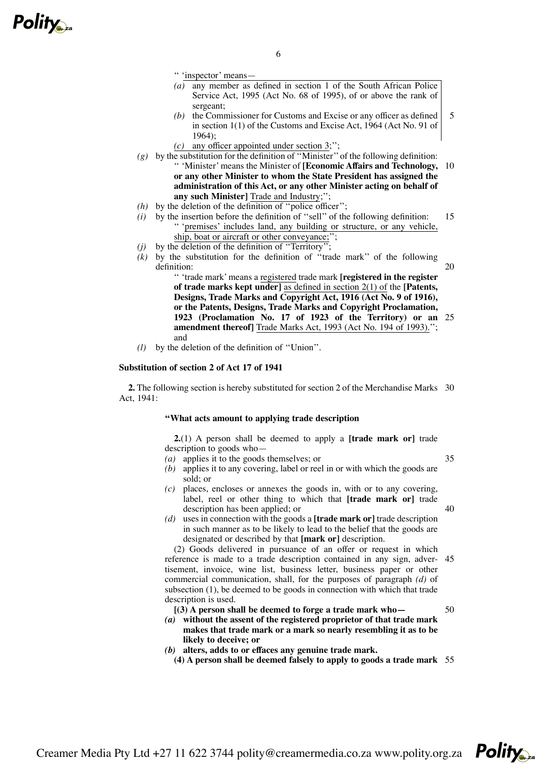

'' 'inspector' means—

- *(a)* any member as defined in section 1 of the South African Police Service Act, 1995 (Act No. 68 of 1995), of or above the rank of sergeant;
- *(b)* the Commissioner for Customs and Excise or any officer as defined in section 1(1) of the Customs and Excise Act, 1964 (Act No. 91 of 1964);
- *(c)* any officer appointed under section 3;'';
- *(g)* by the substitution for the definition of ''Minister'' of the following definition: '' 'Minister' means the Minister of **[Economic Affairs and Technology,** 10 **or any other Minister to whom the State President has assigned the administration of this Act, or any other Minister acting on behalf of any such Minister]** Trade and Industry;'';
- *(h)* by the deletion of the definition of ''police officer'';
- *(i)* by the insertion before the definition of ''sell'' of the following definition: '' 'premises' includes land, any building or structure, or any vehicle, ship, boat or aircraft or other conveyance; 15
- (j) by the deletion of the definition of "Territory"
- $(k)$  by the substitution for the definition of "trade mark" of the following definition:

20

5

'' 'trade mark' means a registered trade mark **[registered in the register of trade marks kept under]** as defined in section 2(1) of the **[Patents, Designs, Trade Marks and Copyright Act, 1916 (Act No. 9 of 1916), or the Patents, Designs, Trade Marks and Copyright Proclamation, 1923 (Proclamation No. 17 of 1923 of the Territory) or an** 25 **amendment thereof]** Trade Marks Act, 1993 (Act No. 194 of 1993).''; and

*(l)* by the deletion of the definition of ''Union''.

## **Substitution of section 2 of Act 17 of 1941**

**2.** The following section is hereby substituted for section 2 of the Merchandise Marks 30 Act, 1941:

## **''What acts amount to applying trade description**

**2.**(1) A person shall be deemed to apply a **[trade mark or]** trade description to goods who—

*(a)* applies it to the goods themselves; or

35

40

- *(b)* applies it to any covering, label or reel in or with which the goods are sold; or
- *(c)* places, encloses or annexes the goods in, with or to any covering, label, reel or other thing to which that **[trade mark or]** trade description has been applied; or
- *(d)* uses in connection with the goods a **[trade mark or]** trade description in such manner as to be likely to lead to the belief that the goods are designated or described by that **[mark or]** description.

(2) Goods delivered in pursuance of an offer or request in which reference is made to a trade description contained in any sign, advertisement, invoice, wine list, business letter, business paper or other commercial communication, shall, for the purposes of paragraph *(d)* of subsection (1), be deemed to be goods in connection with which that trade description is used. 45

50

- **[(3) A person shall be deemed to forge a trade mark who—** *(a)* **without the assent of the registered proprietor of that trade mark makes that trade mark or a mark so nearly resembling it as to be likely to deceive; or**
- *(b)* **alters, adds to or effaces any genuine trade mark.**

**(4) A person shall be deemed falsely to apply to goods a trade mark** 55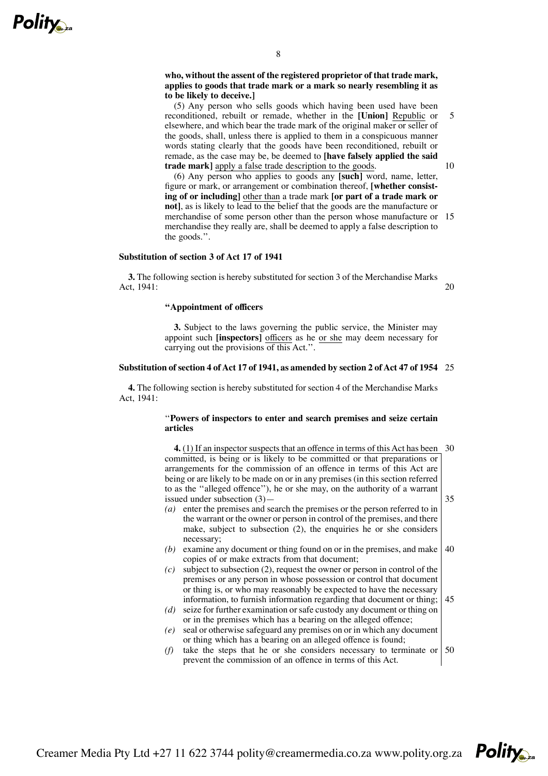

# **who, without the assent of the registered proprietor of that trade mark, applies to goods that trade mark or a mark so nearly resembling it as to be likely to deceive.]**

(5) Any person who sells goods which having been used have been reconditioned, rebuilt or remade, whether in the **[Union]** Republic or elsewhere, and which bear the trade mark of the original maker or seller of the goods, shall, unless there is applied to them in a conspicuous manner words stating clearly that the goods have been reconditioned, rebuilt or remade, as the case may be, be deemed to **[have falsely applied the said trade mark]** apply a false trade description to the goods.

(6) Any person who applies to goods any **[such]** word, name, letter, figure or mark, or arrangement or combination thereof, **[whether consisting of or including]** other than a trade mark **[or part of a trade mark or not]**, as is likely to lead to the belief that the goods are the manufacture or merchandise of some person other than the person whose manufacture or 15 merchandise they really are, shall be deemed to apply a false description to the goods.''.

# **Substitution of section 3 of Act 17 of 1941**

**3.** The following section is hereby substituted for section 3 of the Merchandise Marks Act, 1941:

20

# **''Appointment of officers**

**3.** Subject to the laws governing the public service, the Minister may appoint such **[inspectors]** officers as he or she may deem necessary for carrying out the provisions of this Act.''.

### **Substitution of section 4 ofAct 17 of 1941, as amended by section 2 ofAct 47 of 1954** 25

**4.** The following section is hereby substituted for section 4 of the Merchandise Marks Act, 1941:

## ''**Powers of inspectors to enter and search premises and seize certain articles**

- **4.** (1) If an inspector suspects that an offence in terms of this Act has been 30 committed, is being or is likely to be committed or that preparations or arrangements for the commission of an offence in terms of this Act are being or are likely to be made on or in any premises (in this section referred to as the ''alleged offence''), he or she may, on the authority of a warrant issued under subsection (3)— 35
- *(a)* enter the premises and search the premises or the person referred to in the warrant or the owner or person in control of the premises, and there make, subject to subsection (2), the enquiries he or she considers necessary;
- *(b)* examine any document or thing found on or in the premises, and make copies of or make extracts from that document; 40
- *(c)* subject to subsection (2), request the owner or person in control of the premises or any person in whose possession or control that document or thing is, or who may reasonably be expected to have the necessary information, to furnish information regarding that document or thing; 45
- *(d)* seize for further examination or safe custody any document or thing on or in the premises which has a bearing on the alleged offence;
- *(e)* seal or otherwise safeguard any premises on or in which any document or thing which has a bearing on an alleged offence is found;
- (f) take the steps that he or she considers necessary to terminate or  $\vert 50 \rangle$ prevent the commission of an offence in terms of this Act.



10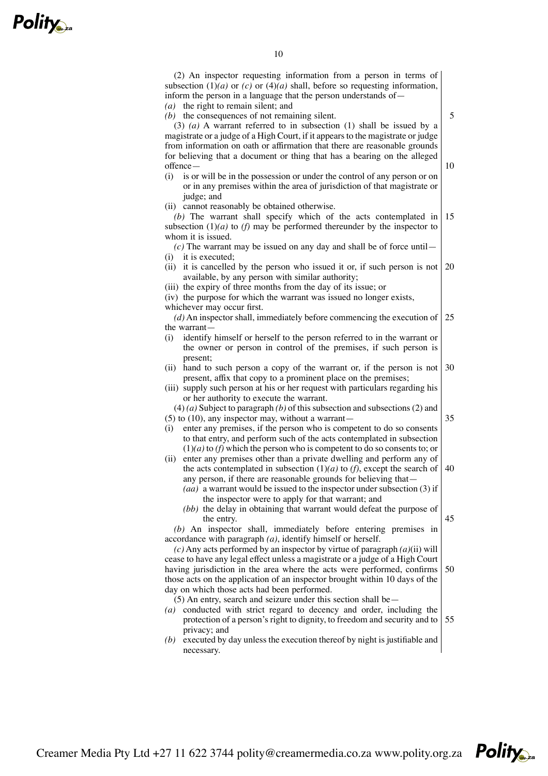| 10                                                                                                                                                                                                                                                                                                                                                                                |    |
|-----------------------------------------------------------------------------------------------------------------------------------------------------------------------------------------------------------------------------------------------------------------------------------------------------------------------------------------------------------------------------------|----|
| (2) An inspector requesting information from a person in terms of<br>subsection $(1)(a)$ or $(c)$ or $(4)(a)$ shall, before so requesting information,<br>inform the person in a language that the person understands of -<br>$(a)$ the right to remain silent; and                                                                                                               |    |
| $(b)$ the consequences of not remaining silent.<br>$(3)$ (a) A warrant referred to in subsection (1) shall be issued by a<br>magistrate or a judge of a High Court, if it appears to the magistrate or judge                                                                                                                                                                      | 5  |
| from information on oath or affirmation that there are reasonable grounds<br>for believing that a document or thing that has a bearing on the alleged<br>$offence -$<br>(i)<br>is or will be in the possession or under the control of any person or on                                                                                                                           | 10 |
| or in any premises within the area of jurisdiction of that magistrate or<br>judge; and<br>(ii) cannot reasonably be obtained otherwise.                                                                                                                                                                                                                                           |    |
| (b) The warrant shall specify which of the acts contemplated in<br>subsection $(1)(a)$ to $(f)$ may be performed thereunder by the inspector to<br>whom it is issued.                                                                                                                                                                                                             | 15 |
| (c) The warrant may be issued on any day and shall be of force until $-$<br>$(i)$ it is executed;<br>(ii) it is cancelled by the person who issued it or, if such person is not<br>available, by any person with similar authority;<br>(iii) the expiry of three months from the day of its issue; or                                                                             | 20 |
| (iv) the purpose for which the warrant was issued no longer exists,<br>whichever may occur first.<br>$(d)$ An inspector shall, immediately before commencing the execution of<br>the warrant-                                                                                                                                                                                     | 25 |
| identify himself or herself to the person referred to in the warrant or<br>(i)<br>the owner or person in control of the premises, if such person is<br>present;                                                                                                                                                                                                                   |    |
| (ii) hand to such person a copy of the warrant or, if the person is not<br>present, affix that copy to a prominent place on the premises;<br>(iii) supply such person at his or her request with particulars regarding his<br>or her authority to execute the warrant.                                                                                                            | 30 |
| $(4)$ (a) Subject to paragraph (b) of this subsection and subsections (2) and<br>$(5)$ to $(10)$ , any inspector may, without a warrant-<br>enter any premises, if the person who is competent to do so consents<br>(i)<br>to that entry, and perform such of the acts contemplated in subsection<br>$(1)(a)$ to $(f)$ which the person who is competent to do so consents to; or | 35 |
| (ii) enter any premises other than a private dwelling and perform any of<br>the acts contemplated in subsection $(1)(a)$ to $(f)$ , except the search of<br>any person, if there are reasonable grounds for believing that-<br>(aa) a warrant would be issued to the inspector under subsection (3) if<br>the inspector were to apply for that warrant; and                       | 40 |
| (bb) the delay in obtaining that warrant would defeat the purpose of<br>the entry.<br>(b) An inspector shall, immediately before entering premises in<br>accordance with paragraph $(a)$ , identify himself or herself.                                                                                                                                                           | 45 |
| (c) Any acts performed by an inspector by virtue of paragraph $(a)(ii)$ will<br>cease to have any legal effect unless a magistrate or a judge of a High Court<br>having jurisdiction in the area where the acts were performed, confirms<br>those acts on the application of an inspector brought within 10 days of the<br>day on which those acts had been performed.            | 50 |
| $(5)$ An entry, search and seizure under this section shall be $-$<br>(a) conducted with strict regard to decency and order, including the<br>protection of a person's right to dignity, to freedom and security and to<br>privacy; and                                                                                                                                           | 55 |
| executed by day unless the execution thereof by night is justifiable and<br>(b)<br>necessary.                                                                                                                                                                                                                                                                                     |    |

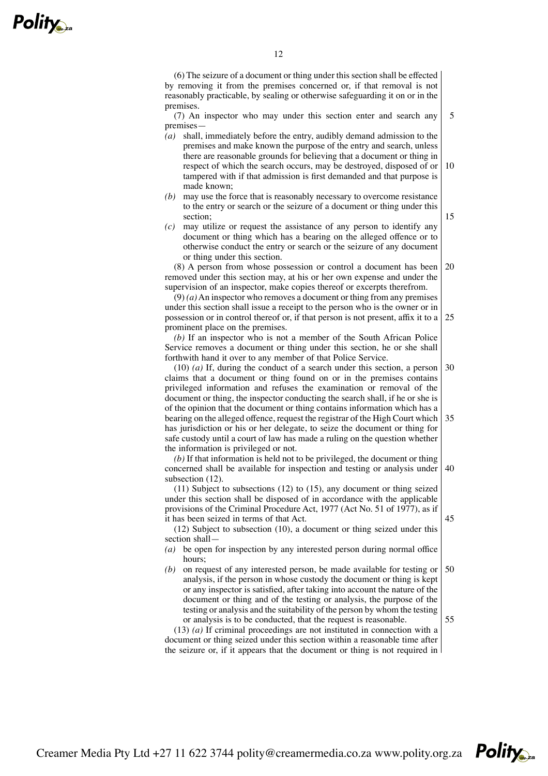(6) The seizure of a document or thing under this section shall be effected by removing it from the premises concerned or, if that removal is not reasonably practicable, by sealing or otherwise safeguarding it on or in the premises.

(7) An inspector who may under this section enter and search any premises— 5

- *(a)* shall, immediately before the entry, audibly demand admission to the premises and make known the purpose of the entry and search, unless there are reasonable grounds for believing that a document or thing in respect of which the search occurs, may be destroyed, disposed of or tampered with if that admission is first demanded and that purpose is made known; 10
- *(b)* may use the force that is reasonably necessary to overcome resistance to the entry or search or the seizure of a document or thing under this section;
- *(c)* may utilize or request the assistance of any person to identify any document or thing which has a bearing on the alleged offence or to otherwise conduct the entry or search or the seizure of any document or thing under this section.

(8) A person from whose possession or control a document has been removed under this section may, at his or her own expense and under the supervision of an inspector, make copies thereof or excerpts therefrom. 20

 $(9)$  (*a*) An inspector who removes a document or thing from any premises under this section shall issue a receipt to the person who is the owner or in possession or in control thereof or, if that person is not present, affix it to a prominent place on the premises. 25

*(b)* If an inspector who is not a member of the South African Police Service removes a document or thing under this section, he or she shall forthwith hand it over to any member of that Police Service.

(10) *(a)* If, during the conduct of a search under this section, a person claims that a document or thing found on or in the premises contains privileged information and refuses the examination or removal of the document or thing, the inspector conducting the search shall, if he or she is of the opinion that the document or thing contains information which has a bearing on the alleged offence, request the registrar of the High Court which has jurisdiction or his or her delegate, to seize the document or thing for safe custody until a court of law has made a ruling on the question whether the information is privileged or not. 30 35

*(b)* If that information is held not to be privileged, the document or thing concerned shall be available for inspection and testing or analysis under subsection  $(12)$ . 40

(11) Subject to subsections (12) to (15), any document or thing seized under this section shall be disposed of in accordance with the applicable provisions of the Criminal Procedure Act, 1977 (Act No. 51 of 1977), as if it has been seized in terms of that Act.

(12) Subject to subsection (10), a document or thing seized under this section shall—

- *(a)* be open for inspection by any interested person during normal office hours;
- *(b)* on request of any interested person, be made available for testing or analysis, if the person in whose custody the document or thing is kept or any inspector is satisfied, after taking into account the nature of the document or thing and of the testing or analysis, the purpose of the testing or analysis and the suitability of the person by whom the testing or analysis is to be conducted, that the request is reasonable. 50

(13) *(a)* If criminal proceedings are not instituted in connection with a document or thing seized under this section within a reasonable time after the seizure or, if it appears that the document or thing is not required in

55

45

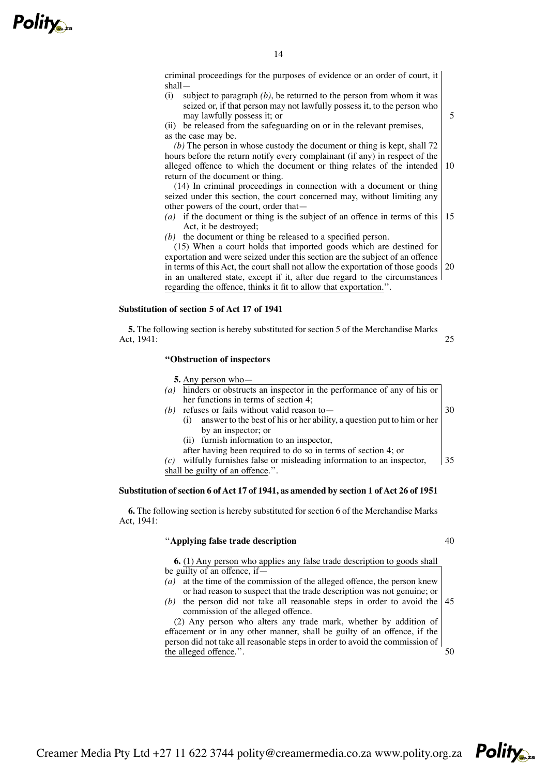

criminal proceedings for the purposes of evidence or an order of court, it shall—

(i) subject to paragraph *(b)*, be returned to the person from whom it was seized or, if that person may not lawfully possess it, to the person who may lawfully possess it; or

(ii) be released from the safeguarding on or in the relevant premises, as the case may be.

*(b)* The person in whose custody the document or thing is kept, shall 72 hours before the return notify every complainant (if any) in respect of the alleged offence to which the document or thing relates of the intended return of the document or thing. 10

(14) In criminal proceedings in connection with a document or thing seized under this section, the court concerned may, without limiting any other powers of the court, order that—

- *(a)* if the document or thing is the subject of an offence in terms of this Act, it be destroyed; 15
- *(b)* the document or thing be released to a specified person.

(15) When a court holds that imported goods which are destined for exportation and were seized under this section are the subject of an offence in terms of this Act, the court shall not allow the exportation of those goods in an unaltered state, except if it, after due regard to the circumstances regarding the offence, thinks it fit to allow that exportation.''. 20

## **Substitution of section 5 of Act 17 of 1941**

**5.** The following section is hereby substituted for section 5 of the Merchandise Marks Act, 1941:  $25$ 

## **''Obstruction of inspectors**

**5.** Any person who—

- *(a)* hinders or obstructs an inspector in the performance of any of his or her functions in terms of section 4;
- *(b)* refuses or fails without valid reason to—
	- (i) answer to the best of his or her ability, a question put to him or her by an inspector; or
	- (ii) furnish information to an inspector,
	- after having been required to do so in terms of section 4; or

*(c)* wilfully furnishes false or misleading information to an inspector, shall be guilty of an offence.''. 35

# **Substitution of section 6 ofAct 17 of 1941, as amended by section 1 ofAct 26 of 1951**

**6.** The following section is hereby substituted for section 6 of the Merchandise Marks Act, 1941:

# ''**Applying false trade description**

40

50

30

5

**6.** (1) Any person who applies any false trade description to goods shall be guilty of an offence, if—

- *(a)* at the time of the commission of the alleged offence, the person knew or had reason to suspect that the trade description was not genuine; or
- (b) the person did not take all reasonable steps in order to avoid the  $\vert 45 \rangle$ commission of the alleged offence.

(2) Any person who alters any trade mark, whether by addition of effacement or in any other manner, shall be guilty of an offence, if the person did not take all reasonable steps in order to avoid the commission of the alleged offence.''.

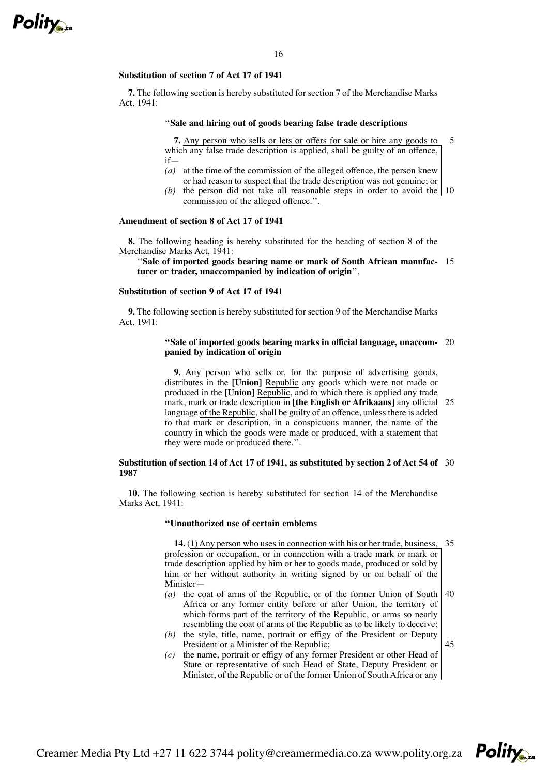

## **Substitution of section 7 of Act 17 of 1941**

**7.** The following section is hereby substituted for section 7 of the Merchandise Marks Act, 1941:

#### ''**Sale and hiring out of goods bearing false trade descriptions**

**7.** Any person who sells or lets or offers for sale or hire any goods to which any false trade description is applied, shall be guilty of an offence, if— 5

- *(a)* at the time of the commission of the alleged offence, the person knew or had reason to suspect that the trade description was not genuine; or
- (b) the person did not take all reasonable steps in order to avoid the  $\vert$  10 commission of the alleged offence.''.

# **Amendment of section 8 of Act 17 of 1941**

**8.** The following heading is hereby substituted for the heading of section 8 of the Merchandise Marks Act, 1941:

''**Sale of imported goods bearing name or mark of South African manufac-**15 **turer or trader, unaccompanied by indication of origin**''.

## **Substitution of section 9 of Act 17 of 1941**

**9.** The following section is hereby substituted for section 9 of the Merchandise Marks Act, 1941:

#### **''Sale of imported goods bearing marks in official language, unaccom-**20 **panied by indication of origin**

**9.** Any person who sells or, for the purpose of advertising goods, distributes in the **[Union]** Republic any goods which were not made or produced in the **[Union]** Republic, and to which there is applied any trade mark, mark or trade description in **[the English or Afrikaans]** any official language of the Republic, shall be guilty of an offence, unless there is added to that mark or description, in a conspicuous manner, the name of the country in which the goods were made or produced, with a statement that they were made or produced there.''. 25

#### **Substitution of section 14 of Act 17 of 1941, as substituted by section 2 of Act 54 of** 30 **1987**

**10.** The following section is hereby substituted for section 14 of the Merchandise Marks Act, 1941:

#### **''Unauthorized use of certain emblems**

**14.** (1) Any person who uses in connection with his or her trade, business, 35 profession or occupation, or in connection with a trade mark or mark or trade description applied by him or her to goods made, produced or sold by him or her without authority in writing signed by or on behalf of the Minister—

- *(a)* the coat of arms of the Republic, or of the former Union of South Africa or any former entity before or after Union, the territory of which forms part of the territory of the Republic, or arms so nearly resembling the coat of arms of the Republic as to be likely to deceive; 40
- *(b)* the style, title, name, portrait or effigy of the President or Deputy President or a Minister of the Republic;
- *(c)* the name, portrait or effigy of any former President or other Head of State or representative of such Head of State, Deputy President or Minister, of the Republic or of the former Union of SouthAfrica or any



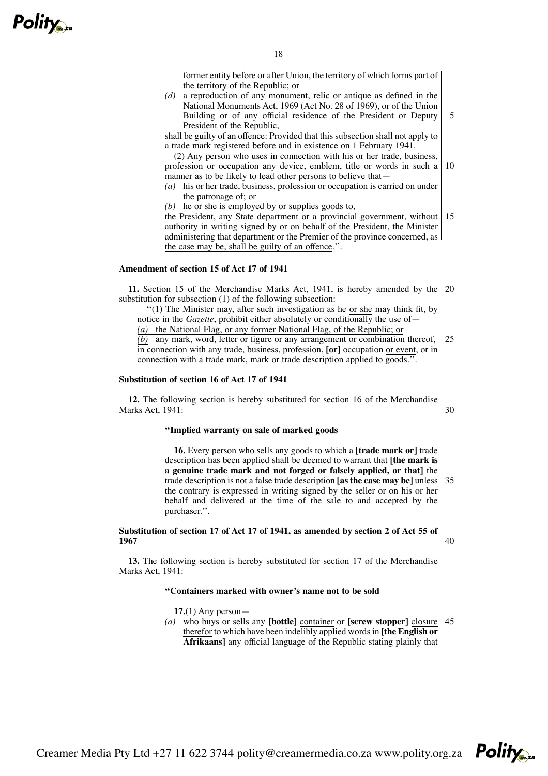

former entity before or after Union, the territory of which forms part of the territory of the Republic; or

5

30

40

*(d)* a reproduction of any monument, relic or antique as defined in the National Monuments Act, 1969 (Act No. 28 of 1969), or of the Union Building or of any official residence of the President or Deputy President of the Republic,

shall be guilty of an offence: Provided that this subsection shall not apply to a trade mark registered before and in existence on 1 February 1941.

(2) Any person who uses in connection with his or her trade, business, profession or occupation any device, emblem, title or words in such a manner as to be likely to lead other persons to believe that— 10

- *(a)* his or her trade, business, profession or occupation is carried on under the patronage of; or
- *(b)* he or she is employed by or supplies goods to,

the President, any State department or a provincial government, without 15 authority in writing signed by or on behalf of the President, the Minister administering that department or the Premier of the province concerned, as the case may be, shall be guilty of an offence.''.

## **Amendment of section 15 of Act 17 of 1941**

**11.** Section 15 of the Merchandise Marks Act, 1941, is hereby amended by the 20 substitution for subsection (1) of the following subsection:

''(1) The Minister may, after such investigation as he or she may think fit, by notice in the *Gazette*, prohibit either absolutely or conditionally the use of—

*(a)* the National Flag, or any former National Flag, of the Republic; or *(b)* any mark, word, letter or figure or any arrangement or combination thereof,

in connection with any trade, business, profession, **[or]** occupation or event, or in connection with a trade mark, mark or trade description applied to goods.''. 25

# **Substitution of section 16 of Act 17 of 1941**

**12.** The following section is hereby substituted for section 16 of the Merchandise Marks Act, 1941:

# **''Implied warranty on sale of marked goods**

**16.** Every person who sells any goods to which a **[trade mark or]** trade description has been applied shall be deemed to warrant that **[the mark is a genuine trade mark and not forged or falsely applied, or that]** the trade description is not a false trade description **[as the case may be]** unless 35 the contrary is expressed in writing signed by the seller or on his or her behalf and delivered at the time of the sale to and accepted by the purchaser.''.

# **Substitution of section 17 of Act 17 of 1941, as amended by section 2 of Act 55 of 1967**

**13.** The following section is hereby substituted for section 17 of the Merchandise Marks Act, 1941:

#### **''Containers marked with owner's name not to be sold**

**17.**(1) Any person—

*(a)* who buys or sells any **[bottle]** container or **[screw stopper]** closure 45therefor to which have been indelibly applied wordsin **[the English or Afrikaans]** any official language of the Republic stating plainly that

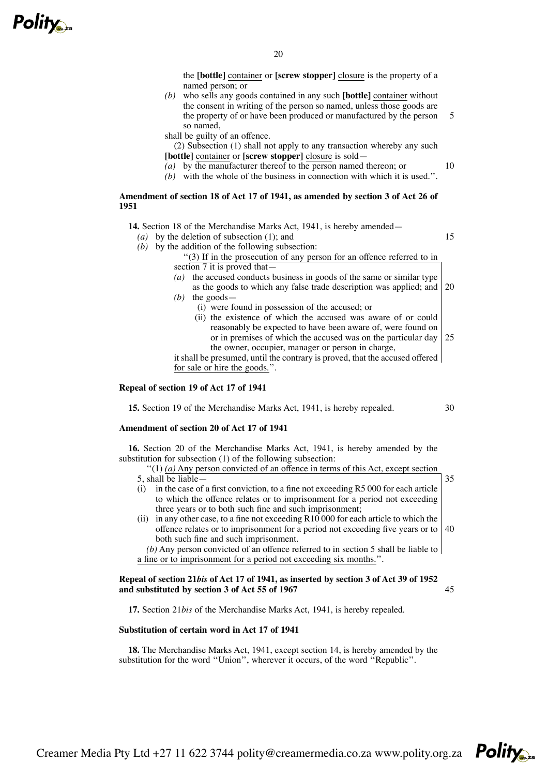

the **[bottle]** container or **[screw stopper]** closure is the property of a named person; or

*(b)* who sells any goods contained in any such **[bottle]** container without the consent in writing of the person so named, unless those goods are the property of or have been produced or manufactured by the person so named, 5

shall be guilty of an offence.

(2) Subsection (1) shall not apply to any transaction whereby any such **[bottle]** container or **[screw stopper]** closure is sold—

- *(a)* by the manufacturer thereof to the person named thereon; or
- *(b)* with the whole of the business in connection with which it is used.''.

# **Amendment of section 18 of Act 17 of 1941, as amended by section 3 of Act 26 of 1951**

**14.** Section 18 of the Merchandise Marks Act, 1941, is hereby amended—

*(a)* by the deletion of subsection (1); and

15

10

*(b)* by the addition of the following subsection:

''(3) If in the prosecution of any person for an offence referred to in section 7 it is proved that-

- *(a)* the accused conducts business in goods of the same or similar type as the goods to which any false trade description was applied; and 20
- *(b)* the goods—
	- (i) were found in possession of the accused; or
	- (ii) the existence of which the accused was aware of or could reasonably be expected to have been aware of, were found on or in premises of which the accused was on the particular day 25 the owner, occupier, manager or person in charge,

it shall be presumed, until the contrary is proved, that the accused offered for sale or hire the goods.''.

# **Repeal of section 19 of Act 17 of 1941**

**15.** Section 19 of the Merchandise Marks Act, 1941, is hereby repealed.

30

# **Amendment of section 20 of Act 17 of 1941**

**16.** Section 20 of the Merchandise Marks Act, 1941, is hereby amended by the substitution for subsection (1) of the following subsection:

 $''(1)$  (a) Any person convicted of an offence in terms of this Act, except section 35

- 5, shall be liable—
- (i) in the case of a first conviction, to a fine not exceeding R5 000 for each article to which the offence relates or to imprisonment for a period not exceeding three years or to both such fine and such imprisonment;
- (ii) in any other case, to a fine not exceeding R10 000 for each article to which the offence relates or to imprisonment for a period not exceeding five years or to 40 both such fine and such imprisonment.

*(b)* Any person convicted of an offence referred to in section 5 shall be liable to a fine or to imprisonment for a period not exceeding six months.''.

# Repeal of section 21bis of Act 17 of 1941, as inserted by section 3 of Act 39 of 1952 **and substituted by section 3 of Act 55 of 1967**

45

**17.** Section 21*bis* of the Merchandise Marks Act, 1941, is hereby repealed.

# **Substitution of certain word in Act 17 of 1941**

**18.** The Merchandise Marks Act, 1941, except section 14, is hereby amended by the substitution for the word ''Union'', wherever it occurs, of the word ''Republic''.

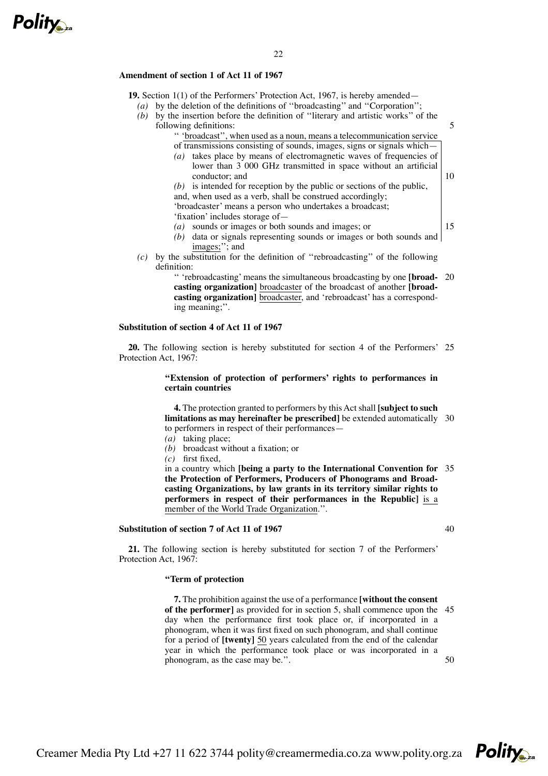

# **Amendment of section 1 of Act 11 of 1967**

**19.** Section 1(1) of the Performers' Protection Act, 1967, is hereby amended—

22

- *(a)* by the deletion of the definitions of ''broadcasting'' and ''Corporation'';
- *(b)* by the insertion before the definition of ''literary and artistic works'' of the following definitions:

'' 'broadcast'', when used as a noun, means a telecommunication service

- of transmissions consisting of sounds, images, signs or signals which— *(a)* takes place by means of electromagnetic waves of frequencies of lower than 3 000 GHz transmitted in space without an artificial conductor; and
- *(b)* is intended for reception by the public or sections of the public, and, when used as a verb, shall be construed accordingly; 'broadcaster' means a person who undertakes a broadcast;
- 'fixation' includes storage of—
- *(a)* sounds or images or both sounds and images; or
- *(b)* data or signals representing sounds or images or both sounds and images;''; and
- *(c)* by the substitution for the definition of ''rebroadcasting'' of the following definition:

'' 'rebroadcasting' means the simultaneous broadcasting by one **[broad-**20 **casting organization]** broadcaster of the broadcast of another **[broadcasting organization]** broadcaster, and 'rebroadcast' has a corresponding meaning;''.

#### **Substitution of section 4 of Act 11 of 1967**

**20.** The following section is hereby substituted for section 4 of the Performers' 25 Protection Act, 1967:

# **''Extension of protection of performers' rights to performances in certain countries**

**4.** The protection granted to performers by this Act shall **[subject to such limitations as may hereinafter be prescribed]** be extended automatically 30 to performers in respect of their performances—

- *(a)* taking place;
- *(b)* broadcast without a fixation; or
- *(c)* first fixed,

in a country which **[being a party to the International Convention for** 35 **the Protection of Performers, Producers of Phonograms and Broadcasting Organizations, by law grants in its territory similar rights to performers in respect of their performances in the Republic]** is a member of the World Trade Organization.''.

#### **Substitution of section 7 of Act 11 of 1967**

40

5

10

15

**21.** The following section is hereby substituted for section 7 of the Performers' Protection Act, 1967:

# **''Term of protection**

**7.** The prohibition against the use of a performance **[without the consent of the performer]** as provided for in section 5, shall commence upon the 45 day when the performance first took place or, if incorporated in a phonogram, when it was first fixed on such phonogram, and shall continue for a period of **[twenty]** 50 years calculated from the end of the calendar year in which the performance took place or was incorporated in a phonogram, as the case may be.''. 50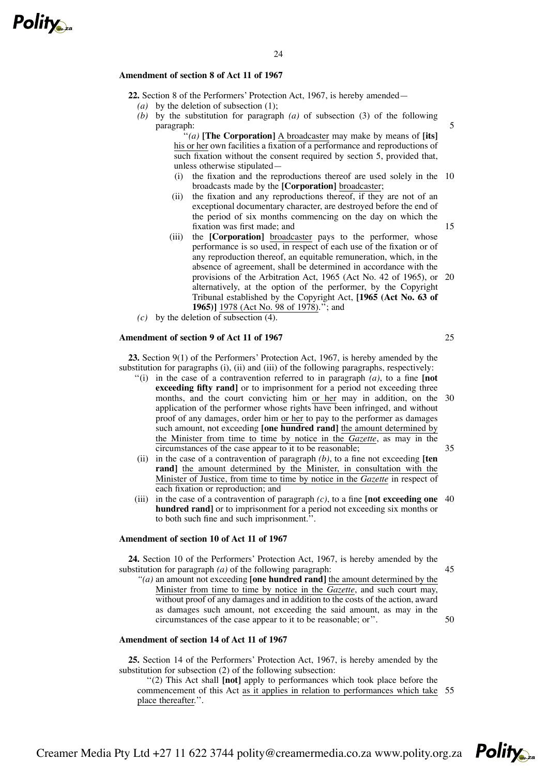

## **Amendment of section 8 of Act 11 of 1967**

**22.** Section 8 of the Performers' Protection Act, 1967, is hereby amended— *(a)* by the deletion of subsection (1);

24

*(b)* by the substitution for paragraph *(a)* of subsection (3) of the following paragraph:

> ''*(a)* **[The Corporation]** A broadcaster may make by means of **[its]** his or her own facilities a fixation of a performance and reproductions of such fixation without the consent required by section 5, provided that, unless otherwise stipulated—

- (i) the fixation and the reproductions thereof are used solely in the 10 broadcasts made by the **[Corporation]** broadcaster;
- (ii) the fixation and any reproductions thereof, if they are not of an exceptional documentary character, are destroyed before the end of the period of six months commencing on the day on which the fixation was first made; and
- (iii) the **[Corporation]** broadcaster pays to the performer, whose performance is so used, in respect of each use of the fixation or of any reproduction thereof, an equitable remuneration, which, in the absence of agreement, shall be determined in accordance with the provisions of the Arbitration Act, 1965 (Act No. 42 of 1965), or 20 alternatively, at the option of the performer, by the Copyright Tribunal established by the Copyright Act, **[1965 (Act No. 63 of 1965)]** 1978 (Act No. 98 of 1978).''; and
- *(c)* by the deletion of subsection (4).

#### **Amendment of section 9 of Act 11 of 1967**

**23.** Section 9(1) of the Performers' Protection Act, 1967, is hereby amended by the substitution for paragraphs (i), (ii) and (iii) of the following paragraphs, respectively:

- ''(i) in the case of a contravention referred to in paragraph *(a)*, to a fine **[not exceeding fifty rand]** or to imprisonment for a period not exceeding three months, and the court convicting him or her may in addition, on the application of the performer whose rights have been infringed, and without proof of any damages, order him or her to pay to the performer as damages such amount, not exceeding **[one hundred rand]** the amount determined by the Minister from time to time by notice in the *Gazette*, as may in the circumstances of the case appear to it to be reasonable; 30 35
- (ii) in the case of a contravention of paragraph *(b)*, to a fine not exceeding **[ten rand]** the amount determined by the Minister, in consultation with the Minister of Justice, from time to time by notice in the *Gazette* in respect of each fixation or reproduction; and
- (iii) in the case of a contravention of paragraph *(c)*, to a fine **[not exceeding one** 40 **hundred rand]** or to imprisonment for a period not exceeding six months or to both such fine and such imprisonment.''.

## **Amendment of section 10 of Act 11 of 1967**

**24.** Section 10 of the Performers' Protection Act, 1967, is hereby amended by the substitution for paragraph *(a)* of the following paragraph:

*''(a)* an amount not exceeding **[one hundred rand]** the amount determined by the Minister from time to time by notice in the *Gazette*, and such court may, without proof of any damages and in addition to the costs of the action, award as damages such amount, not exceeding the said amount, as may in the circumstances of the case appear to it to be reasonable; or''.

# **Amendment of section 14 of Act 11 of 1967**

**25.** Section 14 of the Performers' Protection Act, 1967, is hereby amended by the substitution for subsection (2) of the following subsection:

''(2) This Act shall **[not]** apply to performances which took place before the commencement of this Act as it applies in relation to performances which take 55place thereafter.''.

15

5



45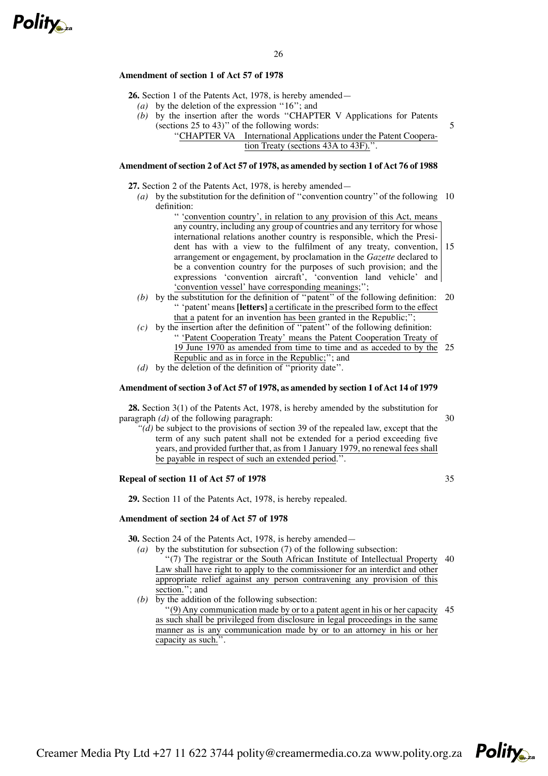# **Amendment of section 1 of Act 57 of 1978**

**26.** Section 1 of the Patents Act, 1978, is hereby amended—

- *(a)* by the deletion of the expression ''16''; and
- *(b)* by the insertion after the words ''CHAPTER V Applications for Patents (sections 25 to 43)'' of the following words:
	- ''CHAPTER VA International Applications under the Patent Cooperation Treaty (sections 43A to 43F).''.

# **Amendment ofsection 2 ofAct 57 of 1978, as amended by section 1 ofAct 76 of 1988**

**27.** Section 2 of the Patents Act, 1978, is hereby amended—

*(a)* by the substitution for the definition of ''convention country'' of the following 10 definition:

'' 'convention country', in relation to any provision of this Act, means any country, including any group of countries and any territory for whose international relations another country is responsible, which the President has with a view to the fulfilment of any treaty, convention, arrangement or engagement, by proclamation in the *Gazette* declared to be a convention country for the purposes of such provision; and the expressions 'convention aircraft', 'convention land vehicle' and 'convention vessel' have corresponding meanings;''; 15

- *(b)* by the substitution for the definition of ''patent'' of the following definition: 20 '' 'patent'means **[letters]** a certificate in the prescribed form to the effect that a patent for an invention has been granted in the Republic;'';
- *(c)* by the insertion after the definition of ''patent'' of the following definition: '' 'Patent Cooperation Treaty' means the Patent Cooperation Treaty of 19 June 1970 as amended from time to time and as acceded to by the 25 Republic and as in force in the Republic;''; and
- *(d)* by the deletion of the definition of ''priority date''.

## **Amendment ofsection 3 ofAct 57 of 1978, as amended by section 1 ofAct 14 of 1979**

**28.** Section 3(1) of the Patents Act, 1978, is hereby amended by the substitution for paragraph *(d)* of the following paragraph:

30

5

*''(d)* be subject to the provisions of section 39 of the repealed law, except that the term of any such patent shall not be extended for a period exceeding five years, and provided further that, as from 1 January 1979, no renewal fees shall be payable in respect of such an extended period.".

## **Repeal of section 11 of Act 57 of 1978**

35

**29.** Section 11 of the Patents Act, 1978, is hereby repealed.

## **Amendment of section 24 of Act 57 of 1978**

**30.** Section 24 of the Patents Act, 1978, is hereby amended—

- *(a)* by the substitution for subsection (7) of the following subsection:
	- ''(7) The registrar or the South African Institute of Intellectual Property 40 Law shall have right to apply to the commissioner for an interdict and other appropriate relief against any person contravening any provision of this section."; and
- *(b)* by the addition of the following subsection:

 $\cdot$ (9) Any communication made by or to a patent agent in his or her capacity 45 as such shall be privileged from disclosure in legal proceedings in the same manner as is any communication made by or to an attorney in his or her capacity as such.'

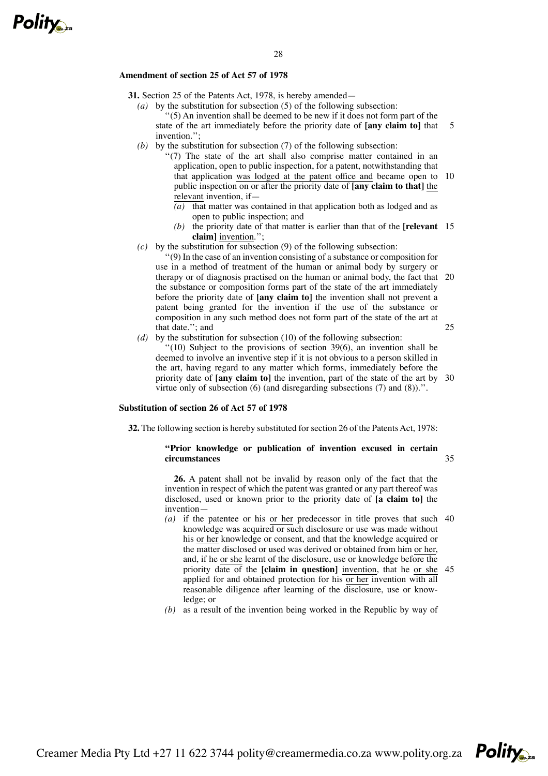## **Amendment of section 25 of Act 57 of 1978**

- **31.** Section 25 of the Patents Act, 1978, is hereby amended—
	- *(a)* by the substitution for subsection (5) of the following subsection: ''(5) An invention shall be deemed to be new if it does not form part of the state of the art immediately before the priority date of **[any claim to]** that invention.''; 5
	- *(b)* by the substitution for subsection (7) of the following subsection:
		- "(7) The state of the art shall also comprise matter contained in an application, open to public inspection, for a patent, notwithstanding that that application was lodged at the patent office and became open to 10 public inspection on or after the priority date of **[any claim to that]** the relevant invention, if—
			- $\overline{(a)}$  that matter was contained in that application both as lodged and as open to public inspection; and
			- *(b)* the priority date of that matter is earlier than that of the **[relevant** 15 **claim]** invention.'';
	- *(c)* by the substitution for subsection (9) of the following subsection:

''(9) In the case of an invention consisting of a substance or composition for use in a method of treatment of the human or animal body by surgery or therapy or of diagnosis practised on the human or animal body, the fact that 20 the substance or composition forms part of the state of the art immediately before the priority date of **[any claim to]** the invention shall not prevent a patent being granted for the invention if the use of the substance or composition in any such method does not form part of the state of the art at that date.''; and 25

*(d)* by the substitution for subsection (10) of the following subsection:  $(10)$  Subject to the provisions of section 39(6), an invention shall be deemed to involve an inventive step if it is not obvious to a person skilled in the art, having regard to any matter which forms, immediately before the priority date of **[any claim to]** the invention, part of the state of the art by 30 virtue only of subsection (6) (and disregarding subsections (7) and (8)).''.

# **Substitution of section 26 of Act 57 of 1978**

**32.** The following section is hereby substituted for section 26 of the Patents Act, 1978:

## **''Prior knowledge or publication of invention excused in certain circumstances**

**26.** A patent shall not be invalid by reason only of the fact that the invention in respect of which the patent was granted or any part thereof was disclosed, used or known prior to the priority date of **[a claim to]** the invention—

- *(a)* if the patentee or his or her predecessor in title proves that such 40 knowledge was acquired or such disclosure or use was made without his or her knowledge or consent, and that the knowledge acquired or the matter disclosed or used was derived or obtained from him or her, and, if he or she learnt of the disclosure, use or knowledge before the priority date of the **[claim in question]** invention, that he or she 45applied for and obtained protection for his or her invention with all reasonable diligence after learning of the disclosure, use or knowledge; or
- *(b)* as a result of the invention being worked in the Republic by way of

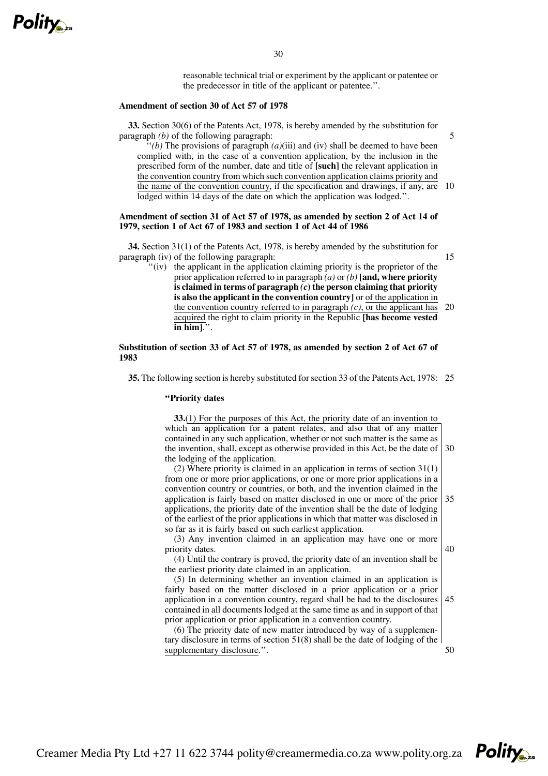

reasonable technical trial or experiment by the applicant or patentee or the predecessor in title of the applicant or patentee.''.

#### **Amendment of section 30 of Act 57 of 1978**

**33.** Section 30(6) of the Patents Act, 1978, is hereby amended by the substitution for paragraph *(b)* of the following paragraph:

''*(b)* The provisions of paragraph *(a)*(iii) and (iv) shall be deemed to have been complied with, in the case of a convention application, by the inclusion in the prescribed form of the number, date and title of **[such]** the relevant application in the convention country from which such convention application claims priority and the name of the convention country, if the specification and drawings, if any, are 10 lodged within 14 days of the date on which the application was lodged.''.

## **Amendment of section 31 of Act 57 of 1978, as amended by section 2 of Act 14 of 1979, section 1 of Act 67 of 1983 and section 1 of Act 44 of 1986**

**34.** Section 31(1) of the Patents Act, 1978, is hereby amended by the substitution for paragraph (iv) of the following paragraph:

''(iv) the applicant in the application claiming priority is the proprietor of the prior application referred to in paragraph *(a)* or *(b)* **[and, where priority is claimed in terms of paragraph** *(c***) the person claiming that priority is also the applicant in the convention country]** or of the application in the convention country referred to in paragraph *(c)*, or the applicant has acquired the right to claim priority in the Republic **[has become vested in him]**.''. 20

# **Substitution of section 33 of Act 57 of 1978, as amended by section 2 of Act 67 of 1983**

**35.** The following section is hereby substituted for section 33 of the Patents Act, 1978: 25

## **''Priority dates**

**33.**(1) For the purposes of this Act, the priority date of an invention to which an application for a patent relates, and also that of any matter contained in any such application, whether or not such matter is the same as the invention, shall, except as otherwise provided in this Act, be the date of 30 the lodging of the application.

(2) Where priority is claimed in an application in terms of section 31(1) from one or more prior applications, or one or more prior applications in a convention country or countries, or both, and the invention claimed in the application is fairly based on matter disclosed in one or more of the prior applications, the priority date of the invention shall be the date of lodging of the earliest of the prior applications in which that matter was disclosed in so far as it is fairly based on such earliest application. 35

(3) Any invention claimed in an application may have one or more priority dates. 40

(4) Until the contrary is proved, the priority date of an invention shall be the earliest priority date claimed in an application.

(5) In determining whether an invention claimed in an application is fairly based on the matter disclosed in a prior application or a prior application in a convention country, regard shall be had to the disclosures contained in all documents lodged at the same time as and in support of that prior application or prior application in a convention country. 45

(6) The priority date of new matter introduced by way of a supplementary disclosure in terms of section 51(8) shall be the date of lodging of the supplementary disclosure.''.

50



15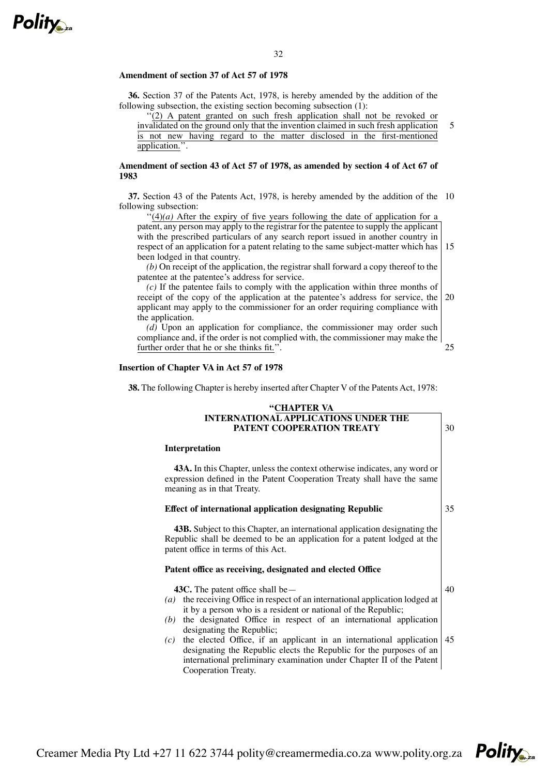

# 32

#### **Amendment of section 37 of Act 57 of 1978**

application.''.

**36.** Section 37 of the Patents Act, 1978, is hereby amended by the addition of the following subsection, the existing section becoming subsection (1):

''(2) A patent granted on such fresh application shall not be revoked or invalidated on the ground only that the invention claimed in such fresh application is not new having regard to the matter disclosed in the first-mentioned 5

**Amendment of section 43 of Act 57 of 1978, as amended by section 4 of Act 67 of 1983**

**37.** Section 43 of the Patents Act, 1978, is hereby amended by the addition of the 10 following subsection:

 $''(4)(a)$  After the expiry of five years following the date of application for a patent, any person may apply to the registrar for the patentee to supply the applicant with the prescribed particulars of any search report issued in another country in respect of an application for a patent relating to the same subject-matter which has 15 been lodged in that country.

*(b)* On receipt of the application, the registrar shall forward a copy thereof to the patentee at the patentee's address for service.

*(c)* If the patentee fails to comply with the application within three months of receipt of the copy of the application at the patentee's address for service, the applicant may apply to the commissioner for an order requiring compliance with the application. 20

*(d)* Upon an application for compliance, the commissioner may order such compliance and, if the order is not complied with, the commissioner may make the further order that he or she thinks fit.''.

## **Insertion of Chapter VA in Act 57 of 1978**

**38.** The following Chapter is hereby inserted after Chapter V of the Patents Act, 1978:

# **''CHAPTER VA INTERNATIONAL APPLICATIONS UNDER THE PATENT COOPERATION TREATY**

#### **Interpretation**

**43A.** In this Chapter, unless the context otherwise indicates, any word or expression defined in the Patent Cooperation Treaty shall have the same meaning as in that Treaty.

# **Effect of international application designating Republic**

35

25

30

**43B.** Subject to this Chapter, an international application designating the Republic shall be deemed to be an application for a patent lodged at the patent office in terms of this Act.

## **Patent office as receiving, designated and elected Office**

**43C.** The patent office shall be— *(a)* the receiving Office in respect of an international application lodged at it by a person who is a resident or national of the Republic; *(b)* the designated Office in respect of an international application designating the Republic; *(c)* the elected Office, if an applicant in an international application designating the Republic elects the Republic for the purposes of an 40 45



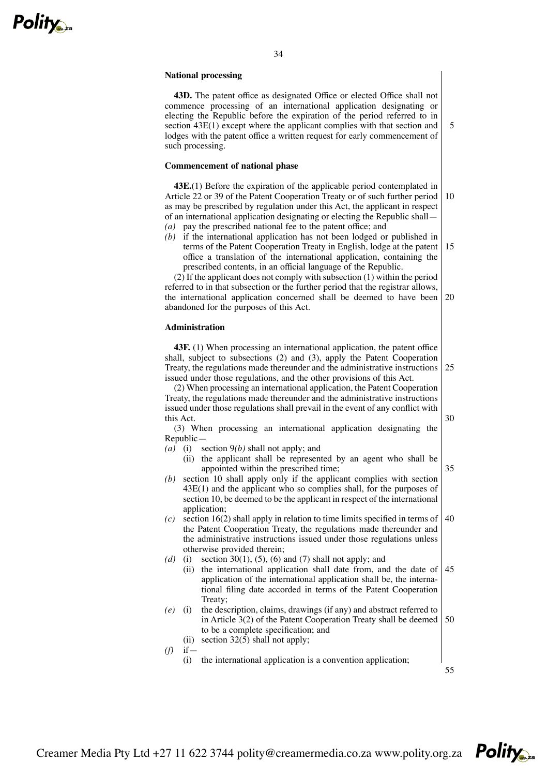

## 34

## **National processing**

**43D.** The patent office as designated Office or elected Office shall not commence processing of an international application designating or electing the Republic before the expiration of the period referred to in section 43E(1) except where the applicant complies with that section and lodges with the patent office a written request for early commencement of such processing.

# **Commencement of national phase**

**43E.**(1) Before the expiration of the applicable period contemplated in Article 22 or 39 of the Patent Cooperation Treaty or of such further period as may be prescribed by regulation under this Act, the applicant in respect of an international application designating or electing the Republic shall— *(a)* pay the prescribed national fee to the patent office; and 10

*(b)* if the international application has not been lodged or published in terms of the Patent Cooperation Treaty in English, lodge at the patent office a translation of the international application, containing the prescribed contents, in an official language of the Republic. 15

(2) If the applicant does not comply with subsection (1) within the period referred to in that subsection or the further period that the registrar allows, the international application concerned shall be deemed to have been abandoned for the purposes of this Act. 20

## **Administration**

**43F.** (1) When processing an international application, the patent office shall, subject to subsections (2) and (3), apply the Patent Cooperation Treaty, the regulations made thereunder and the administrative instructions issued under those regulations, and the other provisions of this Act. 25

(2) When processing an international application, the Patent Cooperation Treaty, the regulations made thereunder and the administrative instructions issued under those regulations shall prevail in the event of any conflict with this Act.

(3) When processing an international application designating the Republic—

- *(a)* (i) section 9*(b)* shall not apply; and
	- (ii) the applicant shall be represented by an agent who shall be appointed within the prescribed time; 35
- *(b)* section 10 shall apply only if the applicant complies with section 43E(1) and the applicant who so complies shall, for the purposes of section 10, be deemed to be the applicant in respect of the international application;
- *(c)* section 16(2) shall apply in relation to time limits specified in terms of the Patent Cooperation Treaty, the regulations made thereunder and the administrative instructions issued under those regulations unless otherwise provided therein; 40
- *(d)* (i) section 30(1), (5), (6) and (7) shall not apply; and
	- (ii) the international application shall date from, and the date of application of the international application shall be, the international filing date accorded in terms of the Patent Cooperation Treaty; 45
- *(e)* (i) the description, claims, drawings (if any) and abstract referred to in Article 3(2) of the Patent Cooperation Treaty shall be deemed to be a complete specification; and 50
	- (ii) section  $32(5)$  shall not apply;

*(f)* if—

- (i) the international application is a convention application;
- 55



30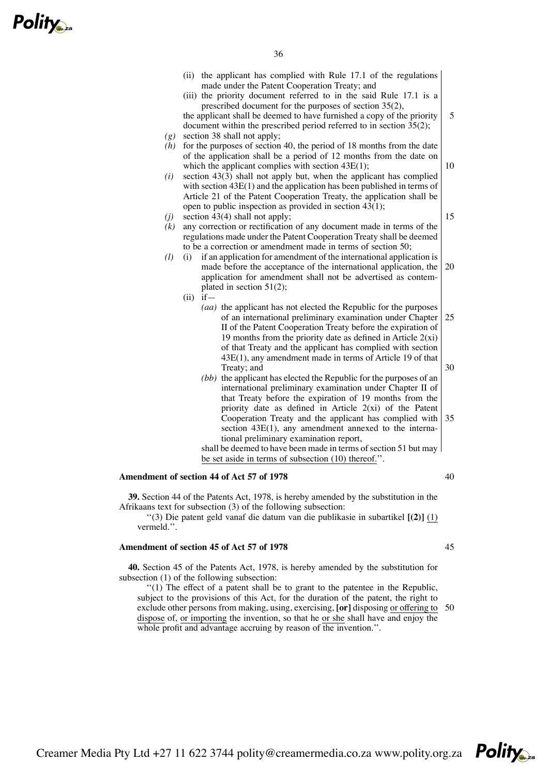|            | (ii) the applicant has complied with Rule 17.1 of the regulations<br>made under the Patent Cooperation Treaty; and                                                                                                                                                                                                                                                                    |    |
|------------|---------------------------------------------------------------------------------------------------------------------------------------------------------------------------------------------------------------------------------------------------------------------------------------------------------------------------------------------------------------------------------------|----|
| (g)        | (iii) the priority document referred to in the said Rule 17.1 is a<br>prescribed document for the purposes of section 35(2),<br>the applicant shall be deemed to have furnished a copy of the priority<br>document within the prescribed period referred to in section 35(2);<br>section 38 shall not apply;                                                                          | 5  |
| (h)        | for the purposes of section 40, the period of 18 months from the date<br>of the application shall be a period of 12 months from the date on<br>which the applicant complies with section $43E(1)$ ;                                                                                                                                                                                   | 10 |
| (i)        | section $43(3)$ shall not apply but, when the applicant has complied<br>with section 43E(1) and the application has been published in terms of<br>Article 21 of the Patent Cooperation Treaty, the application shall be                                                                                                                                                               |    |
| (j)<br>(k) | open to public inspection as provided in section $43(1)$ ;<br>section $43(4)$ shall not apply;<br>any correction or rectification of any document made in terms of the                                                                                                                                                                                                                | 15 |
| (l)        | regulations made under the Patent Cooperation Treaty shall be deemed<br>to be a correction or amendment made in terms of section 50;<br>if an application for amendment of the international application is<br>(i)<br>made before the acceptance of the international application, the<br>application for amendment shall not be advertised as contem-<br>plated in section $51(2)$ ; | 20 |
|            | $(ii)$ if $-$<br>(aa) the applicant has not elected the Republic for the purposes<br>of an international preliminary examination under Chapter<br>II of the Patent Cooperation Treaty before the expiration of<br>19 months from the priority date as defined in Article $2(xi)$                                                                                                      | 25 |
|            | of that Treaty and the applicant has complied with section<br>43E(1), any amendment made in terms of Article 19 of that<br>Treaty; and                                                                                                                                                                                                                                                | 30 |
|            | (bb) the applicant has elected the Republic for the purposes of an<br>international preliminary examination under Chapter II of<br>that Treaty before the expiration of 19 months from the<br>priority date as defined in Article $2(xi)$ of the Patent<br>Cooperation Treaty and the applicant has complied with<br>section $43E(1)$ , any amendment annexed to the interna-         | 35 |
|            | tional preliminary examination report,<br>shall be deemed to have been made in terms of section 51 but may<br>be set aside in terms of subsection (10) thereof.".                                                                                                                                                                                                                     |    |
|            | Amendment of section 44 of Act 57 of 1978                                                                                                                                                                                                                                                                                                                                             | 40 |
| vermeld.". | 39. Section 44 of the Patents Act, 1978, is hereby amended by the substitution in the<br>Afrikaans text for subsection (3) of the following subsection:<br>"(3) Die patent geld vanaf die datum van die publikasie in subartikel $[(2)]$ (1)                                                                                                                                          |    |

# **Amendment of section 45 of Act 57 of 1978**

**40.** Section 45 of the Patents Act, 1978, is hereby amended by the substitution for subsection (1) of the following subsection:

''(1) The effect of a patent shall be to grant to the patentee in the Republic, subject to the provisions of this Act, for the duration of the patent, the right to exclude other persons from making, using, exercising, **[or]** disposing or offering to 50dispose of, or importing the invention, so that he or she shall have and enjoy the whole profit and advantage accruing by reason of the invention.".

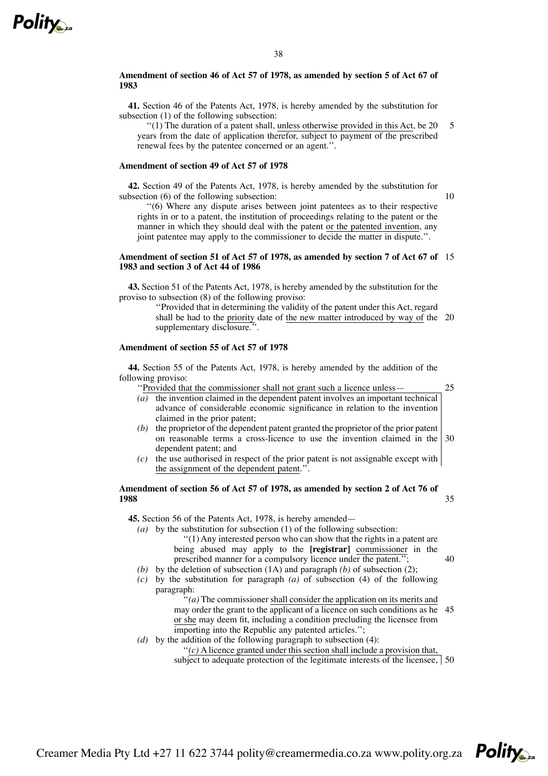# **Amendment of section 46 of Act 57 of 1978, as amended by section 5 of Act 67 of 1983**

**41.** Section 46 of the Patents Act, 1978, is hereby amended by the substitution for subsection (1) of the following subsection:

''(1) The duration of a patent shall, unless otherwise provided in this Act, be 20 years from the date of application therefor, subject to payment of the prescribed renewal fees by the patentee concerned or an agent.''. 5

# **Amendment of section 49 of Act 57 of 1978**

**42.** Section 49 of the Patents Act, 1978, is hereby amended by the substitution for subsection (6) of the following subsection:

''(6) Where any dispute arises between joint patentees as to their respective rights in or to a patent, the institution of proceedings relating to the patent or the manner in which they should deal with the patent or the patented invention, any joint patentee may apply to the commissioner to decide the matter in dispute.''.

10

25

40

## **Amendment of section 51 of Act 57 of 1978, as amended by section 7 of Act 67 of** 15 **1983 and section 3 of Act 44 of 1986**

**43.** Section 51 of the Patents Act, 1978, is hereby amended by the substitution for the proviso to subsection (8) of the following proviso:

> ''Provided that in determining the validity of the patent under this Act, regard shall be had to the priority date of the new matter introduced by way of the 20 supplementary disclosure.".

# **Amendment of section 55 of Act 57 of 1978**

**44.** Section 55 of the Patents Act, 1978, is hereby amended by the addition of the following proviso:

''Provided that the commissioner shall not grant such a licence unless—

- *(a)* the invention claimed in the dependent patent involves an important technical advance of considerable economic significance in relation to the invention claimed in the prior patent;
- *(b)* the proprietor of the dependent patent granted the proprietor of the prior patent on reasonable terms a cross-licence to use the invention claimed in the dependent patent; and 30
- *(c)* the use authorised in respect of the prior patent is not assignable except with the assignment of the dependent patent.''.

#### **Amendment of section 56 of Act 57 of 1978, as amended by section 2 of Act 76 of 1988** 35

**45.** Section 56 of the Patents Act, 1978, is hereby amended—

*(a)* by the substitution for subsection (1) of the following subsection:

- ''(1) Any interested person who can show that the rights in a patent are being abused may apply to the **[registrar]** commissioner in the prescribed manner for a compulsory licence under the patent.'';
- *(b)* by the deletion of subsection (1A) and paragraph *(b)* of subsection (2);
- *(c)* by the substitution for paragraph *(a)* of subsection (4) of the following paragraph:

 $'(a)$  The commissioner shall consider the application on its merits and may order the grant to the applicant of a licence on such conditions as he 45 or she may deem fit, including a condition precluding the licensee from importing into the Republic any patented articles.'';

*(d)* by the addition of the following paragraph to subsection (4):

''*(c)* A licence granted under this section shall include a provision that,

subject to adequate protection of the legitimate interests of the licensee, 50

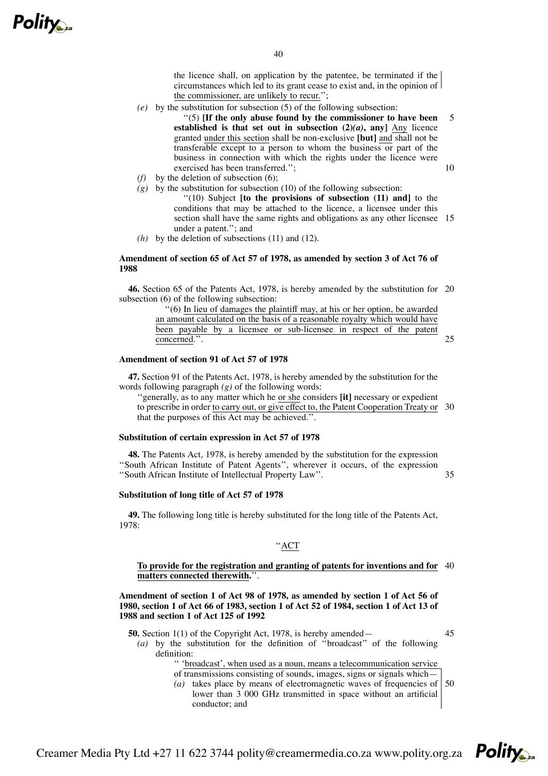

the licence shall, on application by the patentee, be terminated if the circumstances which led to its grant cease to exist and, in the opinion of the commissioner, are unlikely to recur.'';

*(e)* by the substitution for subsection (5) of the following subsection:

''(5) **[If the only abuse found by the commissioner to have been established** is that set out in subsection  $(2)(a)$ , any] Any licence granted under this section shall be non-exclusive **[but]** and shall not be transferable except to a person to whom the business or part of the business in connection with which the rights under the licence were exercised has been transferred.''; 5 10

- *(f)* by the deletion of subsection (6);
- $(g)$  by the substitution for subsection (10) of the following subsection: ''(10) Subject **[to the provisions of subsection (11) and]** to the conditions that may be attached to the licence, a licensee under this section shall have the same rights and obligations as any other licensee 15 under a patent.''; and
- *(h)* by the deletion of subsections (11) and (12).

# **Amendment of section 65 of Act 57 of 1978, as amended by section 3 of Act 76 of 1988**

**46.** Section 65 of the Patents Act, 1978, is hereby amended by the substitution for 20 subsection (6) of the following subsection:

> ''(6) In lieu of damages the plaintiff may, at his or her option, be awarded an amount calculated on the basis of a reasonable royalty which would have been payable by a licensee or sub-licensee in respect of the patent concerned.''.

# **Amendment of section 91 of Act 57 of 1978**

**47.** Section 91 of the Patents Act, 1978, is hereby amended by the substitution for the words following paragraph *(g)* of the following words:

''generally, as to any matter which he or she considers **[it]** necessary or expedient to prescribe in order to carry out, or give effect to, the Patent Cooperation Treaty or 30 that the purposes of this Act may be achieved.".

## **Substitution of certain expression in Act 57 of 1978**

**48.** The Patents Act, 1978, is hereby amended by the substitution for the expression ''South African Institute of Patent Agents'', wherever it occurs, of the expression ''South African Institute of Intellectual Property Law''.

**Substitution of long title of Act 57 of 1978**

definition:

**49.** The following long title is hereby substituted for the long title of the Patents Act, 1978:

# ''ACT

## **To provide for the registration and granting of patents for inventions and for** 40 **matters connected therewith.**''.

**Amendment of section 1 of Act 98 of 1978, as amended by section 1 of Act 56 of** 1980, section 1 of Act 66 of 1983, section 1 of Act 52 of 1984, section 1 of Act 13 of **1988 and section 1 of Act 125 of 1992**

- **50.** Section 1(1) of the Copyright Act, 1978, is hereby amended—
- 45

**Polity** 

 $25$ 

35

*(a)* by the substitution for the definition of ''broadcast'' of the following

'' 'broadcast', when used as a noun, means a telecommunication service of transmissions consisting of sounds, images, signs or signals which—

(*a*) takes place by means of electromagnetic waves of frequencies of lower than 3 000 GHz transmitted in space without an artificial conductor; and 50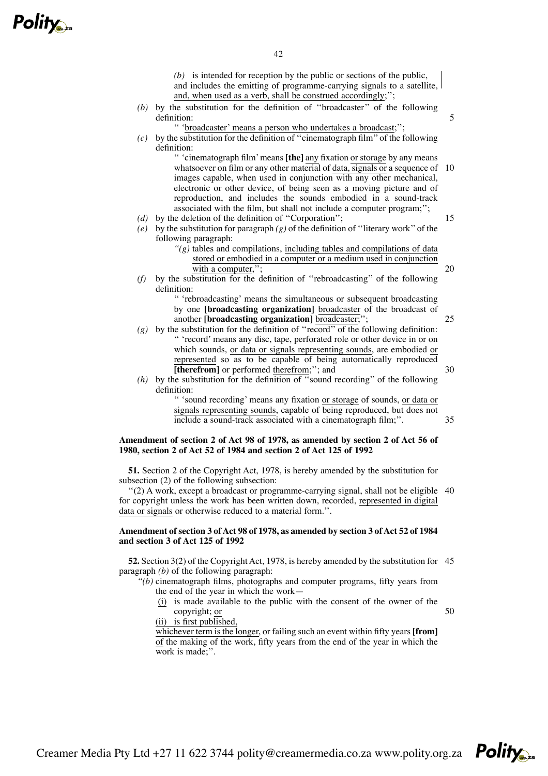- *(b)* is intended for reception by the public or sections of the public,
- and includes the emitting of programme-carrying signals to a satellite, and, when used as a verb, shall be construed accordingly;'';
- *(b)* by the substitution for the definition of ''broadcaster'' of the following definition:
	- '' 'broadcaster' means a person who undertakes a broadcast;'';
- *(c)* by the substitution for the definition of ''cinematograph film'' of the following definition:

'' 'cinematograph film'means **[the]** any fixation or storage by any means whatsoever on film or any other material of data, signals or a sequence of 10 images capable, when used in conjunction with any other mechanical, electronic or other device, of being seen as a moving picture and of reproduction, and includes the sounds embodied in a sound-track associated with the film, but shall not include a computer program;''; 15

- *(d)* by the deletion of the definition of ''Corporation'';
- *(e)* by the substitution for paragraph *(g)* of the definition of ''literary work'' of the following paragraph:
	- *''(g)* tables and compilations, including tables and compilations of data stored or embodied in a computer or a medium used in conjunction with a computer,";
- *(f)* by the substitution for the definition of ''rebroadcasting'' of the following definition:

'' 'rebroadcasting' means the simultaneous or subsequent broadcasting by one **[broadcasting organization]** broadcaster of the broadcast of another **[broadcasting organization]** broadcaster;

- *(g)* by the substitution for the definition of ''record'' of the following definition: '' 'record' means any disc, tape, perforated role or other device in or on which sounds, or data or signals representing sounds, are embodied or represented so as to be capable of being automatically reproduced **[therefrom]** or performed therefrom;''; and
- *(h)* by the substitution for the definition of ''sound recording'' of the following definition:

'' 'sound recording' means any fixation or storage of sounds, or data or signals representing sounds, capable of being reproduced, but does not include a sound-track associated with a cinematograph film;''. 35

# **Amendment of section 2 of Act 98 of 1978, as amended by section 2 of Act 56 of 1980, section 2 of Act 52 of 1984 and section 2 of Act 125 of 1992**

**51.** Section 2 of the Copyright Act, 1978, is hereby amended by the substitution for subsection (2) of the following subsection:

''(2) A work, except a broadcast or programme-carrying signal, shall not be eligible 40 for copyright unless the work has been written down, recorded, represented in digital data or signals or otherwise reduced to a material form.''.

# **Amendment ofsection 3 ofAct 98 of 1978, as amended by section 3 ofAct 52 of 1984 and section 3 of Act 125 of 1992**

**52.** Section 3(2) of the Copyright Act, 1978, is hereby amended by the substitution for 45 paragraph *(b)* of the following paragraph:

*''(b)* cinematograph films, photographs and computer programs, fifty years from the end of the year in which the work—

(i) is made available to the public with the consent of the owner of the copyright; or

50

(ii) is first published,

whichever term is the longer, or failing such an event within fifty years **[from]** of the making of the work, fifty years from the end of the year in which the work is made;''.



20

25

30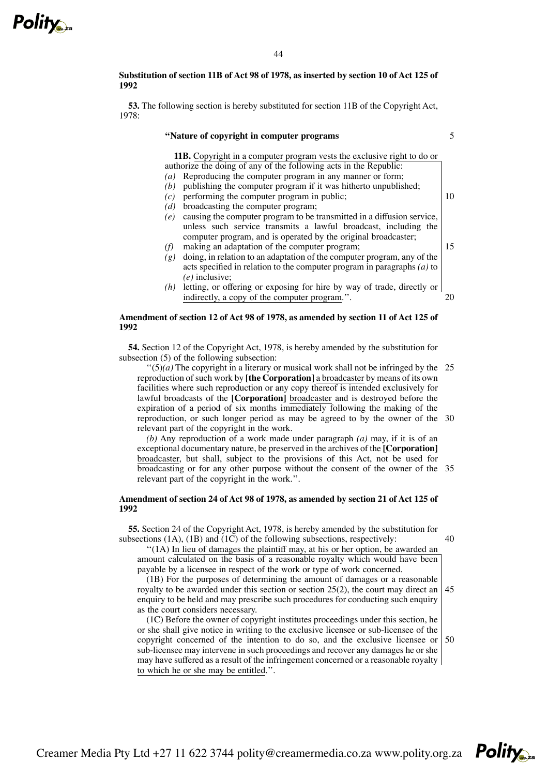**Substitution of section 11B of Act 98 of 1978, as inserted by section 10 of Act 125 of 1992**

**53.** The following section is hereby substituted for section 11B of the Copyright Act, 1978:

#### **''Nature of copyright in computer programs**

5

10

15

20

**11B.** Copyright in a computer program vests the exclusive right to do or authorize the doing of any of the following acts in the Republic: *(a)* Reproducing the computer program in any manner or form;

- *(b)* publishing the computer program if it was hitherto unpublished;
- *(c)* performing the computer program in public;
- *(d)* broadcasting the computer program;
- *(e)* causing the computer program to be transmitted in a diffusion service, unless such service transmits a lawful broadcast, including the computer program, and is operated by the original broadcaster;
- *(f)* making an adaptation of the computer program;
- *(g)* doing, in relation to an adaptation of the computer program, any of the acts specified in relation to the computer program in paragraphs *(a)* to *(e)* inclusive;
- *(h)* letting, or offering or exposing for hire by way of trade, directly or indirectly, a copy of the computer program.''.

# **Amendment of section 12 of Act 98 of 1978, as amended by section 11 of Act 125 of 1992**

**54.** Section 12 of the Copyright Act, 1978, is hereby amended by the substitution for subsection (5) of the following subsection:

 $\lq(5)(a)$  The copyright in a literary or musical work shall not be infringed by the 25 reproduction of such work by **[the Corporation]** a broadcaster by means of its own facilities where such reproduction or any copy thereof is intended exclusively for lawful broadcasts of the **[Corporation]** broadcaster and is destroyed before the expiration of a period of six months immediately following the making of the reproduction, or such longer period as may be agreed to by the owner of the 30 relevant part of the copyright in the work.

*(b)* Any reproduction of a work made under paragraph *(a)* may, if it is of an exceptional documentary nature, be preserved in the archives of the **[Corporation]** broadcaster, but shall, subject to the provisions of this Act, not be used for broadcasting or for any other purpose without the consent of the owner of the 35 relevant part of the copyright in the work.''.

# **Amendment of section 24 of Act 98 of 1978, as amended by section 21 of Act 125 of 1992**

**55.** Section 24 of the Copyright Act, 1978, is hereby amended by the substitution for subsections  $(1A)$ ,  $(1B)$  and  $(1C)$  of the following subsections, respectively:

"(1A) In lieu of damages the plaintiff may, at his or her option, be awarded an amount calculated on the basis of a reasonable royalty which would have been payable by a licensee in respect of the work or type of work concerned.

(1B) For the purposes of determining the amount of damages or a reasonable royalty to be awarded under this section or section 25(2), the court may direct an enquiry to be held and may prescribe such procedures for conducting such enquiry as the court considers necessary. 45

(1C) Before the owner of copyright institutes proceedings under this section, he or she shall give notice in writing to the exclusive licensee or sub-licensee of the copyright concerned of the intention to do so, and the exclusive licensee or sub-licensee may intervene in such proceedings and recover any damages he or she may have suffered as a result of the infringement concerned or a reasonable royalty to which he or she may be entitled.''. 50

Creamer Media Pty Ltd +27 11 622 3744 polity@creamermedia.co.za www.polity.org.za

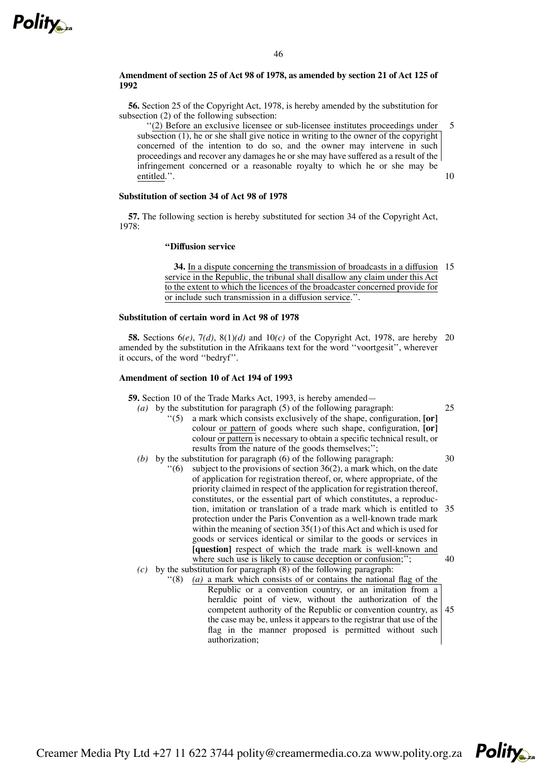

# **Amendment of section 25 of Act 98 of 1978, as amended by section 21 of Act 125 of 1992**

**56.** Section 25 of the Copyright Act, 1978, is hereby amended by the substitution for subsection (2) of the following subsection:

''(2) Before an exclusive licensee or sub-licensee institutes proceedings under subsection (1), he or she shall give notice in writing to the owner of the copyright concerned of the intention to do so, and the owner may intervene in such proceedings and recover any damages he or she may have suffered as a result of the infringement concerned or a reasonable royalty to which he or she may be entitled.''. 10

# **Substitution of section 34 of Act 98 of 1978**

**57.** The following section is hereby substituted for section 34 of the Copyright Act, 1978:

# **''Diffusion service**

**34.** In a dispute concerning the transmission of broadcasts in a diffusion 15 service in the Republic, the tribunal shall disallow any claim under this Act to the extent to which the licences of the broadcaster concerned provide for or include such transmission in a diffusion service.''.

#### **Substitution of certain word in Act 98 of 1978**

**58.** Sections 6*(e)*, 7*(d)*, 8(1)*(d)* and 10*(c)* of the Copyright Act, 1978, are hereby 20 amended by the substitution in the Afrikaans text for the word ''voortgesit'', wherever it occurs, of the word ''bedryf''.

# **Amendment of section 10 of Act 194 of 1993**

**59.** Section 10 of the Trade Marks Act, 1993, is hereby amended—

- *(a)* by the substitution for paragraph (5) of the following paragraph: ''(5) a mark which consists exclusively of the shape, configuration, **[or]** colour or pattern of goods where such shape, configuration, **[or]** colour or pattern is necessary to obtain a specific technical result, or results from the nature of the goods themselves;'';
- *(b)* by the substitution for paragraph (6) of the following paragraph:  $''(6)$  subject to the provisions of section 36(2), a mark which, on the date of application for registration thereof, or, where appropriate, of the priority claimed in respect of the application for registration thereof, constitutes, or the essential part of which constitutes, a reproduction, imitation or translation of a trade mark which is entitled to 35 protection under the Paris Convention as a well-known trade mark within the meaning of section  $35(1)$  of this Act and which is used for goods or services identical or similar to the goods or services in **[question]** respect of which the trade mark is well-known and where such use is likely to cause deception or confusion;"; 30 40
- *(c)* by the substitution for paragraph (8) of the following paragraph:
	- ''(8) *(a)* a mark which consists of or contains the national flag of the Republic or a convention country, or an imitation from a heraldic point of view, without the authorization of the competent authority of the Republic or convention country, as the case may be, unless it appears to the registrar that use of the flag in the manner proposed is permitted without such authorization; 45

Creamer Media Pty Ltd +27 11 622 3744 polity@creamermedia.co.za www.polity.org.za



25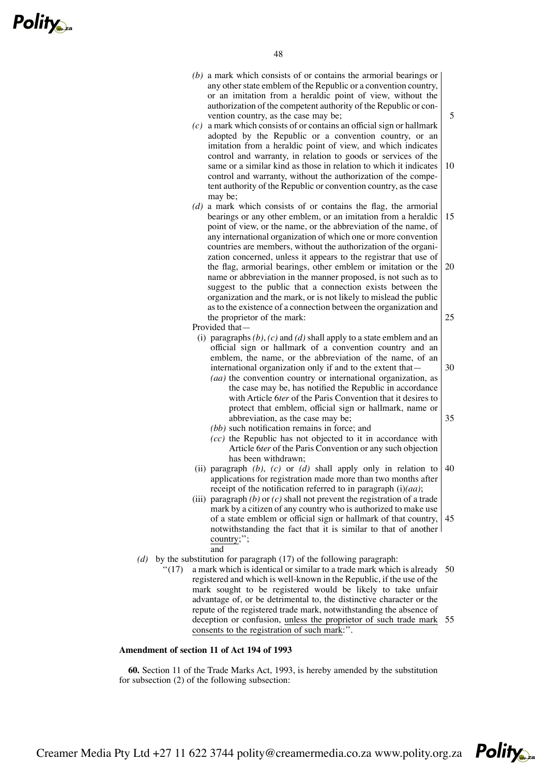*(b)* a mark which consists of or contains the armorial bearings or any other state emblem of the Republic or a convention country, or an imitation from a heraldic point of view, without the authorization of the competent authority of the Republic or convention country, as the case may be;

5

30

35

- *(c)* a mark which consists of or contains an official sign or hallmark adopted by the Republic or a convention country, or an imitation from a heraldic point of view, and which indicates control and warranty, in relation to goods or services of the same or a similar kind as those in relation to which it indicates control and warranty, without the authorization of the competent authority of the Republic or convention country, as the case may be; 10
- *(d)* a mark which consists of or contains the flag, the armorial bearings or any other emblem, or an imitation from a heraldic point of view, or the name, or the abbreviation of the name, of any international organization of which one or more convention countries are members, without the authorization of the organization concerned, unless it appears to the registrar that use of the flag, armorial bearings, other emblem or imitation or the name or abbreviation in the manner proposed, is not such as to suggest to the public that a connection exists between the organization and the mark, or is not likely to mislead the public asto the existence of a connection between the organization and the proprietor of the mark: 15 20 25

Provided that—

- (i) paragraphs *(b)*, *(c)* and *(d)* shall apply to a state emblem and an official sign or hallmark of a convention country and an emblem, the name, or the abbreviation of the name, of an international organization only if and to the extent that—
	- *(aa)* the convention country or international organization, as the case may be, has notified the Republic in accordance with Article 6*ter* of the Paris Convention that it desires to protect that emblem, official sign or hallmark, name or abbreviation, as the case may be;
	- *(bb)* such notification remains in force; and
	- *(cc)* the Republic has not objected to it in accordance with Article 6*ter* of the Paris Convention or any such objection has been withdrawn;
- (ii) paragraph *(b)*, *(c)* or *(d)* shall apply only in relation to applications for registration made more than two months after receipt of the notification referred to in paragraph (i)*(aa)*; 40
- (iii) paragraph *(b)* or *(c)* shall not prevent the registration of a trade mark by a citizen of any country who is authorized to make use of a state emblem or official sign or hallmark of that country, notwithstanding the fact that it is similar to that of another country;''; and 45
- *(d)* by the substitution for paragraph (17) of the following paragraph:<br>"(17) a mark which is identical or similar to a trade mark which
	- $''(17)$  a mark which is identical or similar to a trade mark which is already 50 registered and which is well-known in the Republic, if the use of the mark sought to be registered would be likely to take unfair advantage of, or be detrimental to, the distinctive character or the repute of the registered trade mark, notwithstanding the absence of deception or confusion, unless the proprietor of such trade mark 55 consents to the registration of such mark:''.

# **Amendment of section 11 of Act 194 of 1993**

**60.** Section 11 of the Trade Marks Act, 1993, is hereby amended by the substitution for subsection (2) of the following subsection:

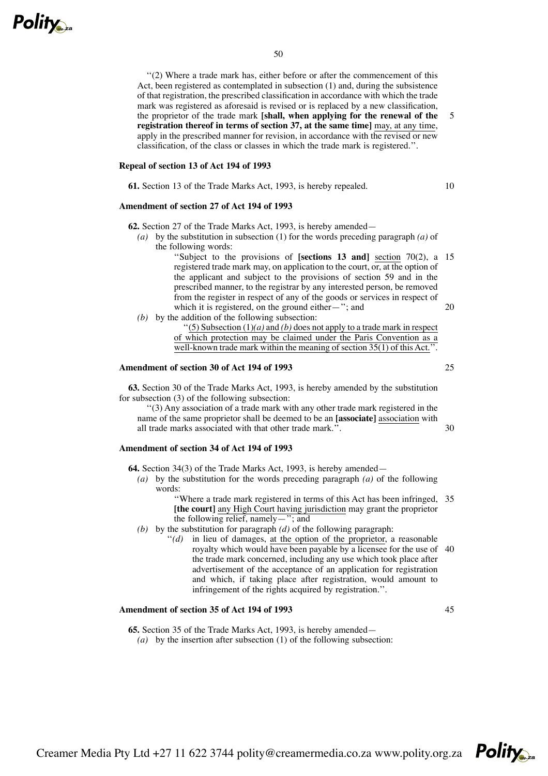

''(2) Where a trade mark has, either before or after the commencement of this Act, been registered as contemplated in subsection (1) and, during the subsistence of that registration, the prescribed classification in accordance with which the trade mark was registered as aforesaid is revised or is replaced by a new classification, the proprietor of the trade mark **[shall, when applying for the renewal of the registration thereof in terms of section 37, at the same time]** may, at any time, apply in the prescribed manner for revision, in accordance with the revised or new classification, of the class or classes in which the trade mark is registered.''.

## **Repeal of section 13 of Act 194 of 1993**

**61.** Section 13 of the Trade Marks Act, 1993, is hereby repealed.

#### **Amendment of section 27 of Act 194 of 1993**

**62.** Section 27 of the Trade Marks Act, 1993, is hereby amended—

- *(a)* by the substitution in subsection (1) for the words preceding paragraph *(a)* of the following words:
	- ''Subject to the provisions of **[sections 13 and]** section 70(2), a 15 registered trade mark may, on application to the court,  $\overline{or}$ , at the option of the applicant and subject to the provisions of section 59 and in the prescribed manner, to the registrar by any interested person, be removed from the register in respect of any of the goods or services in respect of which it is registered, on the ground either—"; and 20
- *(b)* by the addition of the following subsection:

"(5) Subsection  $(1)(a)$  and  $(b)$  does not apply to a trade mark in respect of which protection may be claimed under the Paris Convention as a well-known trade mark within the meaning of section  $35(1)$  of this Act.".

# **Amendment of section 30 of Act 194 of 1993**

**63.** Section 30 of the Trade Marks Act, 1993, is hereby amended by the substitution for subsection (3) of the following subsection:

''(3) Any association of a trade mark with any other trade mark registered in the name of the same proprietor shall be deemed to be an **[associate]** association with all trade marks associated with that other trade mark.''.

# **Amendment of section 34 of Act 194 of 1993**

**64.** Section 34(3) of the Trade Marks Act, 1993, is hereby amended—

*(a)* by the substitution for the words preceding paragraph *(a)* of the following words:

> ''Where a trade mark registered in terms of this Act has been infringed, 35 **[the court]** any High Court having jurisdiction may grant the proprietor the following relief, namely—"; and

- *(b)* by the substitution for paragraph *(d)* of the following paragraph:
	- "(d) in lieu of damages, at the option of the proprietor, a reasonable royalty which would have been payable by a licensee for the use of 40 the trade mark concerned, including any use which took place after advertisement of the acceptance of an application for registration and which, if taking place after registration, would amount to infringement of the rights acquired by registration.''.

### **Amendment of section 35 of Act 194 of 1993**

**65.** Section 35 of the Trade Marks Act, 1993, is hereby amended— *(a)* by the insertion after subsection (1) of the following subsection:



25

30

45

5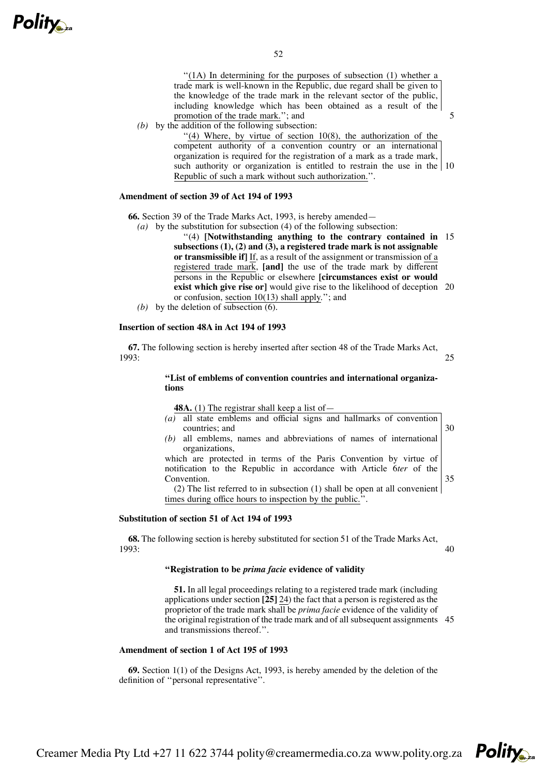''(1A) In determining for the purposes of subsection (1) whether a trade mark is well-known in the Republic, due regard shall be given to the knowledge of the trade mark in the relevant sector of the public, including knowledge which has been obtained as a result of the promotion of the trade mark.''; and

*(b)* by the addition of the following subsection:

 $''$ (4) Where, by virtue of section 10(8), the authorization of the competent authority of a convention country or an international organization is required for the registration of a mark as a trade mark, such authority or organization is entitled to restrain the use in the 10 Republic of such a mark without such authorization.''.

5

35

# **Amendment of section 39 of Act 194 of 1993**

**66.** Section 39 of the Trade Marks Act, 1993, is hereby amended—

*(a)* by the substitution for subsection (4) of the following subsection:

''(4) **[Notwithstanding anything to the contrary contained in** 15 **subsections (1), (2) and (3), a registered trade mark is not assignable or transmissible if]** If, as a result of the assignment or transmission of a registered trade mark, **[and]** the use of the trade mark by different persons in the Republic or elsewhere **[circumstances exist or would exist which give rise or]** would give rise to the likelihood of deception 20 or confusion, section 10(13) shall apply.''; and

*(b)* by the deletion of subsection (6).

## **Insertion of section 48A in Act 194 of 1993**

**67.** The following section is hereby inserted after section 48 of the Trade Marks Act, 1993: 25

## **''List of emblems of convention countries and international organizations**

**48A.** (1) The registrar shall keep a list of—

*(a)* all state emblems and official signs and hallmarks of convention countries; and *(b)* all emblems, names and abbreviations of names of international organizations, which are protected in terms of the Paris Convention by virtue of 30

notification to the Republic in accordance with Article 6*ter* of the Convention.

(2) The list referred to in subsection (1) shall be open at all convenient times during office hours to inspection by the public.''.

## **Substitution of section 51 of Act 194 of 1993**

**68.** The following section is hereby substituted for section 51 of the Trade Marks Act, 1993: 40

# **''Registration to be** *prima facie* **evidence of validity**

**51.** In all legal proceedings relating to a registered trade mark (including applications under section **[25]** 24) the fact that a person is registered as the proprietor of the trade mark shall be *prima facie* evidence of the validity of the original registration of the trade mark and of all subsequent assignments 45and transmissions thereof.''.

## **Amendment of section 1 of Act 195 of 1993**

**69.** Section 1(1) of the Designs Act, 1993, is hereby amended by the deletion of the definition of ''personal representative''.

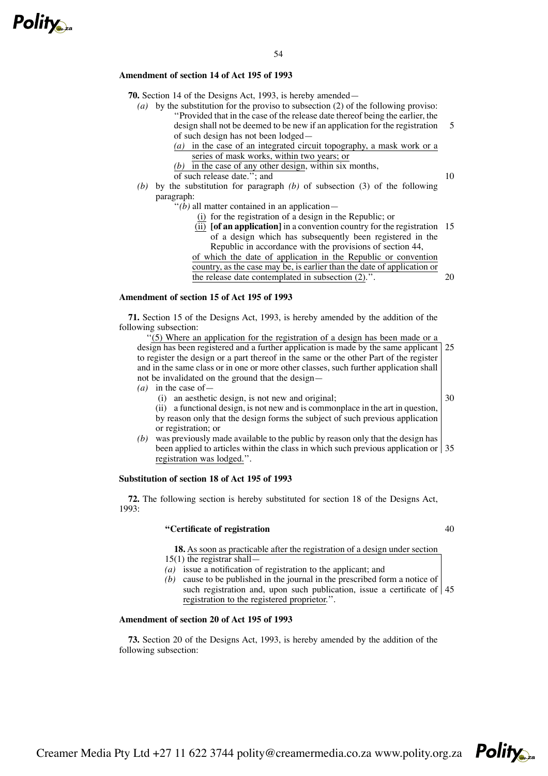

## **Amendment of section 14 of Act 195 of 1993**

**70.** Section 14 of the Designs Act, 1993, is hereby amended—

- *(a)* by the substitution for the proviso to subsection (2) of the following proviso: ''Provided that in the case of the release date thereof being the earlier, the design shall not be deemed to be new if an application for the registration of such design has not been lodged— 5
	- *(a)* in the case of an integrated circuit topography, a mask work or a series of mask works, within two years; or
	- *(b)* in the case of any other design, within six months,
	- of such release date.''; and
- *(b)* by the substitution for paragraph *(b)* of subsection (3) of the following paragraph:
	- ''*(b)* all matter contained in an application—
		- (i) for the registration of a design in the Republic; or
		- (ii) **[of an application]** in a convention country for the registration 15 of a design which has subsequently been registered in the Republic in accordance with the provisions of section 44,

of which the date of application in the Republic or convention country, as the case may be, is earlier than the date of application or the release date contemplated in subsection (2).''.

## **Amendment of section 15 of Act 195 of 1993**

**71.** Section 15 of the Designs Act, 1993, is hereby amended by the addition of the following subsection:

''(5) Where an application for the registration of a design has been made or a design has been registered and a further application is made by the same applicant to register the design or a part thereof in the same or the other Part of the register and in the same class or in one or more other classes, such further application shall not be invalidated on the ground that the design— 25

- *(a)* in the case of—
	- (i) an aesthetic design, is not new and original;

30

10

20

(ii) a functional design, is not new and is commonplace in the art in question, by reason only that the design forms the subject of such previous application or registration; or

*(b)* was previously made available to the public by reason only that the design has been applied to articles within the class in which such previous application or 35 registration was lodged.''.

# **Substitution of section 18 of Act 195 of 1993**

**72.** The following section is hereby substituted for section 18 of the Designs Act, 1993:

#### **''Certificate of registration**

40

**18.** As soon as practicable after the registration of a design under section  $15(1)$  the registrar shall—

- *(a)* issue a notification of registration to the applicant; and
- *(b)* cause to be published in the journal in the prescribed form a notice of such registration and, upon such publication, issue a certificate of 45registration to the registered proprietor.''.

# **Amendment of section 20 of Act 195 of 1993**

**73.** Section 20 of the Designs Act, 1993, is hereby amended by the addition of the following subsection: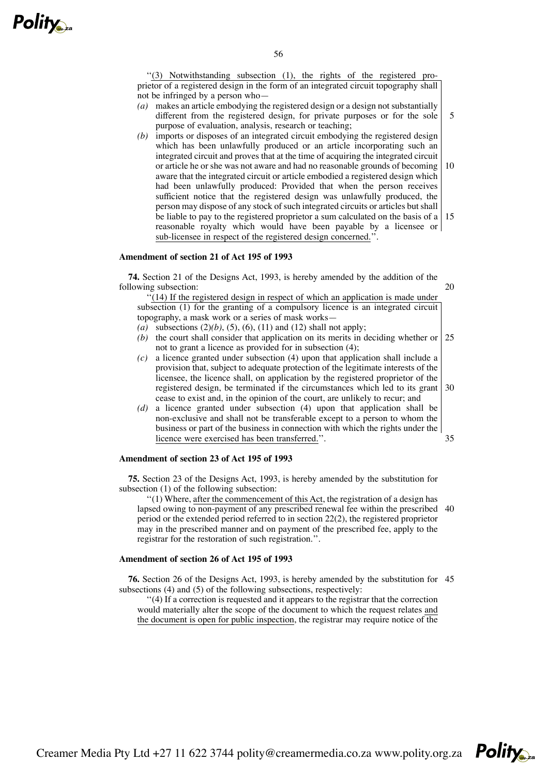

''(3) Notwithstanding subsection (1), the rights of the registered proprietor of a registered design in the form of an integrated circuit topography shall not be infringed by a person who—

*(a)* makes an article embodying the registered design or a design not substantially different from the registered design, for private purposes or for the sole purpose of evaluation, analysis, research or teaching;

5

35

*(b)* imports or disposes of an integrated circuit embodying the registered design which has been unlawfully produced or an article incorporating such an integrated circuit and proves that at the time of acquiring the integrated circuit or article he or she was not aware and had no reasonable grounds of becoming aware that the integrated circuit or article embodied a registered design which had been unlawfully produced: Provided that when the person receives sufficient notice that the registered design was unlawfully produced, the person may dispose of any stock of such integrated circuits or articles but shall be liable to pay to the registered proprietor a sum calculated on the basis of a reasonable royalty which would have been payable by a licensee or sub-licensee in respect of the registered design concerned.''. 10 15

# **Amendment of section 21 of Act 195 of 1993**

**74.** Section 21 of the Designs Act, 1993, is hereby amended by the addition of the following subsection: 20

 $\cdot$ (14) If the registered design in respect of which an application is made under subsection (1) for the granting of a compulsory licence is an integrated circuit topography, a mask work or a series of mask works—

- *(a)* subsections (2)*(b)*, (5), (6), (11) and (12) shall not apply;
- (b) the court shall consider that application on its merits in deciding whether or not to grant a licence as provided for in subsection (4); 25
- *(c)* a licence granted under subsection (4) upon that application shall include a provision that, subject to adequate protection of the legitimate interests of the licensee, the licence shall, on application by the registered proprietor of the registered design, be terminated if the circumstances which led to its grant cease to exist and, in the opinion of the court, are unlikely to recur; and 30
- *(d)* a licence granted under subsection (4) upon that application shall be non-exclusive and shall not be transferable except to a person to whom the business or part of the business in connection with which the rights under the licence were exercised has been transferred.''.

# **Amendment of section 23 of Act 195 of 1993**

**75.** Section 23 of the Designs Act, 1993, is hereby amended by the substitution for subsection (1) of the following subsection:

''(1) Where, after the commencement of this Act, the registration of a design has lapsed owing to non-payment of any prescribed renewal fee within the prescribed 40 period or the extended period referred to in section 22(2), the registered proprietor may in the prescribed manner and on payment of the prescribed fee, apply to the registrar for the restoration of such registration.''.

# **Amendment of section 26 of Act 195 of 1993**

**76.** Section 26 of the Designs Act, 1993, is hereby amended by the substitution for 45subsections (4) and (5) of the following subsections, respectively:

''(4) If a correction is requested and it appears to the registrar that the correction would materially alter the scope of the document to which the request relates and the document is open for public inspection, the registrar may require notice of the

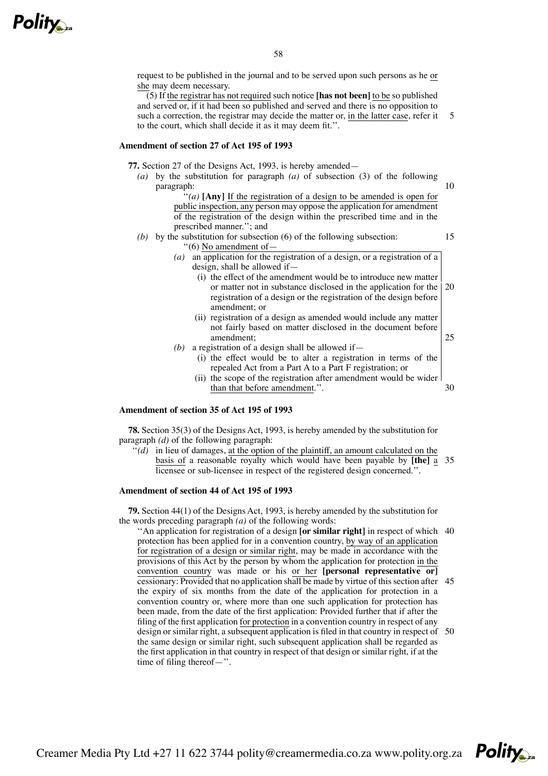

request to be published in the journal and to be served upon such persons as he or she may deem necessary.

(5) If the registrar has not required such notice **[has not been]** to be so published and served or, if it had been so published and served and there is no opposition to such a correction, the registrar may decide the matter or, in the latter case, refer it to the court, which shall decide it as it may deem fit.''. 5

## **Amendment of section 27 of Act 195 of 1993**

**77.** Section 27 of the Designs Act, 1993, is hereby amended—

*(a)* by the substitution for paragraph *(a)* of subsection (3) of the following paragraph:

 $\mathbf{A}^{\prime\prime}(a)$  [Any] If the registration of a design to be amended is open for public inspection, any person may oppose the application for amendment of the registration of the design within the prescribed time and in the prescribed manner.''; and

- *(b)* by the substitution for subsection (6) of the following subsection: ''(6) No amendment of—
	- *(a)* an application for the registration of a design, or a registration of a design, shall be allowed if—
		- (i) the effect of the amendment would be to introduce new matter or matter not in substance disclosed in the application for the registration of a design or the registration of the design before amendment; or 20

10

15

- (ii) registration of a design as amended would include any matter not fairly based on matter disclosed in the document before amendment; 25
- (b) a registration of a design shall be allowed if  $-$ 
	- (i) the effect would be to alter a registration in terms of the repealed Act from a Part A to a Part F registration; or
	- (ii) the scope of the registration after amendment would be wider than that before amendment.''. 30

# **Amendment of section 35 of Act 195 of 1993**

**78.** Section 35(3) of the Designs Act, 1993, is hereby amended by the substitution for paragraph *(d)* of the following paragraph:

 $\cdot \cdot \cdot (d)$  in lieu of damages, at the option of the plaintiff, an amount calculated on the basis of a reasonable royalty which would have been payable by **[the]** a 35 licensee or sub-licensee in respect of the registered design concerned.''.

## **Amendment of section 44 of Act 195 of 1993**

**79.** Section 44(1) of the Designs Act, 1993, is hereby amended by the substitution for the words preceding paragraph *(a)* of the following words:

''An application for registration of a design **[or similar right]** in respect of which 40 protection has been applied for in a convention country, by way of an application for registration of a design or similar right, may be made in accordance with the provisions of this Act by the person by whom the application for protection in the convention country was made or his or her **[personal representative or]** cessionary: Provided that no application shall be made by virtue of this section after 45 the expiry of six months from the date of the application for protection in a convention country or, where more than one such application for protection has been made, from the date of the first application: Provided further that if after the filing of the first application for protection in a convention country in respect of any design or similar right, a subsequent application is filed in that country in respect of 50the same design or similar right, such subsequent application shall be regarded as the first application in that country in respect of that design or similar right, if at the time of filing thereof—''.

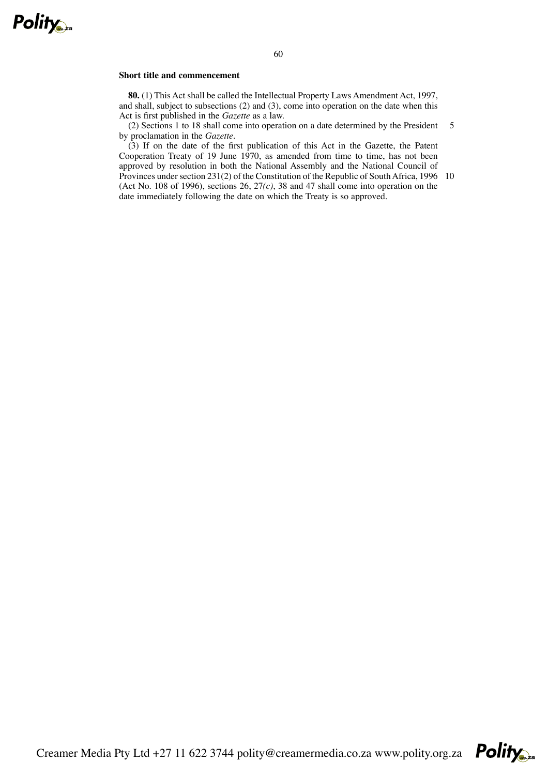

# **Short title and commencement**

**80.** (1) This Act shall be called the Intellectual Property Laws Amendment Act, 1997, and shall, subject to subsections (2) and (3), come into operation on the date when this Act is first published in the *Gazette* as a law.

(2) Sections 1 to 18 shall come into operation on a date determined by the President by proclamation in the *Gazette*. 5

(3) If on the date of the first publication of this Act in the Gazette, the Patent Cooperation Treaty of 19 June 1970, as amended from time to time, has not been approved by resolution in both the National Assembly and the National Council of Provinces under section 231(2) of the Constitution of the Republic of South Africa, 1996 10 (Act No. 108 of 1996), sections 26, 27*(c)*, 38 and 47 shall come into operation on the date immediately following the date on which the Treaty is so approved.

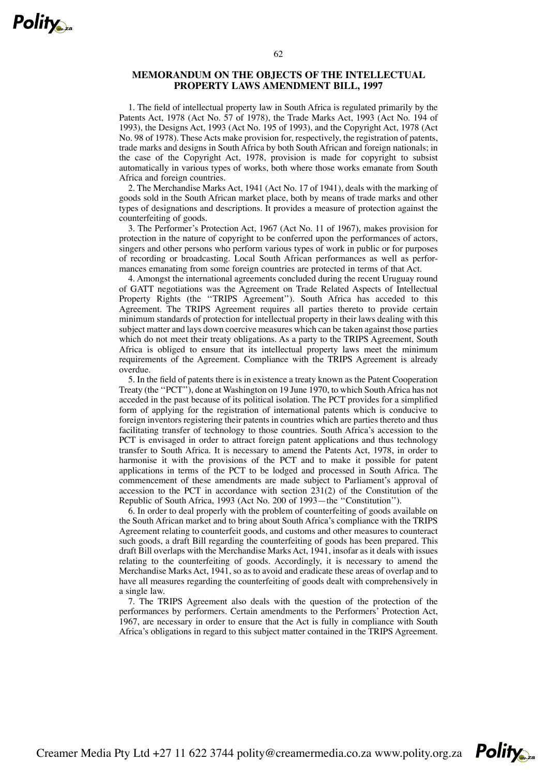# **MEMORANDUM ON THE OBJECTS OF THE INTELLECTUAL PROPERTY LAWS AMENDMENT BILL, 1997**

1. The field of intellectual property law in South Africa is regulated primarily by the Patents Act, 1978 (Act No. 57 of 1978), the Trade Marks Act, 1993 (Act No. 194 of 1993), the Designs Act, 1993 (Act No. 195 of 1993), and the Copyright Act, 1978 (Act No. 98 of 1978). These Acts make provision for, respectively, the registration of patents, trade marks and designs in South Africa by both South African and foreign nationals; in the case of the Copyright Act, 1978, provision is made for copyright to subsist automatically in various types of works, both where those works emanate from South Africa and foreign countries.

2. The Merchandise Marks Act, 1941 (Act No. 17 of 1941), deals with the marking of goods sold in the South African market place, both by means of trade marks and other types of designations and descriptions. It provides a measure of protection against the counterfeiting of goods.

3. The Performer's Protection Act, 1967 (Act No. 11 of 1967), makes provision for protection in the nature of copyright to be conferred upon the performances of actors, singers and other persons who perform various types of work in public or for purposes of recording or broadcasting. Local South African performances as well as performances emanating from some foreign countries are protected in terms of that Act.

4. Amongst the international agreements concluded during the recent Uruguay round of GATT negotiations was the Agreement on Trade Related Aspects of Intellectual Property Rights (the "TRIPS Agreement"). South Africa has acceded to this Agreement. The TRIPS Agreement requires all parties thereto to provide certain minimum standards of protection for intellectual property in their laws dealing with this subject matter and lays down coercive measures which can be taken against those parties which do not meet their treaty obligations. As a party to the TRIPS Agreement, South Africa is obliged to ensure that its intellectual property laws meet the minimum requirements of the Agreement. Compliance with the TRIPS Agreement is already overdue.

5. In the field of patents there is in existence a treaty known as the Patent Cooperation Treaty (the ''PCT''), done at Washington on 19 June 1970, to which SouthAfrica has not acceded in the past because of its political isolation. The PCT provides for a simplified form of applying for the registration of international patents which is conducive to foreign inventors registering their patents in countries which are parties thereto and thus facilitating transfer of technology to those countries. South Africa's accession to the PCT is envisaged in order to attract foreign patent applications and thus technology transfer to South Africa. It is necessary to amend the Patents Act, 1978, in order to harmonise it with the provisions of the PCT and to make it possible for patent applications in terms of the PCT to be lodged and processed in South Africa. The commencement of these amendments are made subject to Parliament's approval of accession to the PCT in accordance with section 231(2) of the Constitution of the Republic of South Africa, 1993 (Act No. 200 of 1993—the ''Constitution'').

6. In order to deal properly with the problem of counterfeiting of goods available on the South African market and to bring about South Africa's compliance with the TRIPS Agreement relating to counterfeit goods, and customs and other measures to counteract such goods, a draft Bill regarding the counterfeiting of goods has been prepared. This draft Bill overlaps with the Merchandise Marks Act, 1941, insofar as it deals with issues relating to the counterfeiting of goods. Accordingly, it is necessary to amend the Merchandise Marks Act, 1941, so as to avoid and eradicate these areas of overlap and to have all measures regarding the counterfeiting of goods dealt with comprehensively in a single law.

7. The TRIPS Agreement also deals with the question of the protection of the performances by performers. Certain amendments to the Performers' Protection Act, 1967, are necessary in order to ensure that the Act is fully in compliance with South Africa's obligations in regard to this subject matter contained in the TRIPS Agreement.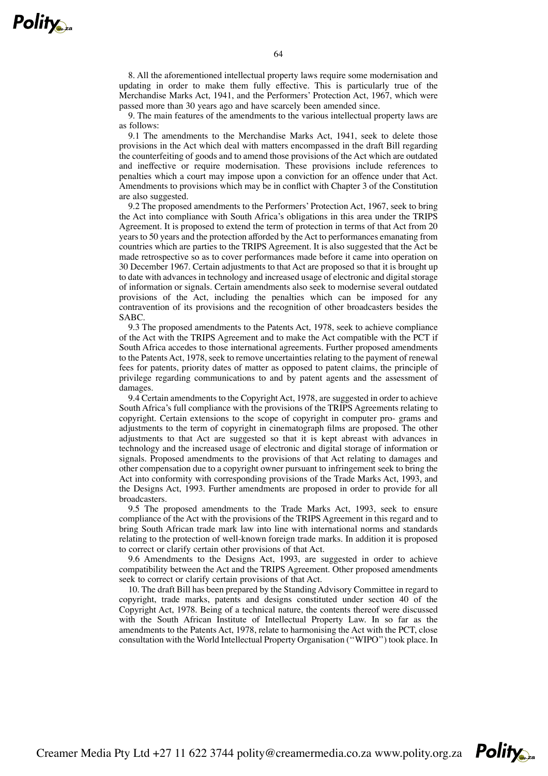8. All the aforementioned intellectual property laws require some modernisation and updating in order to make them fully effective. This is particularly true of the Merchandise Marks Act, 1941, and the Performers' Protection Act, 1967, which were passed more than 30 years ago and have scarcely been amended since.

9. The main features of the amendments to the various intellectual property laws are as follows:

9.1 The amendments to the Merchandise Marks Act, 1941, seek to delete those provisions in the Act which deal with matters encompassed in the draft Bill regarding the counterfeiting of goods and to amend those provisions of the Act which are outdated and ineffective or require modernisation. These provisions include references to penalties which a court may impose upon a conviction for an offence under that Act. Amendments to provisions which may be in conflict with Chapter 3 of the Constitution are also suggested.

9.2 The proposed amendments to the Performers' Protection Act, 1967, seek to bring the Act into compliance with South Africa's obligations in this area under the TRIPS Agreement. It is proposed to extend the term of protection in terms of that Act from 20 years to 50 years and the protection afforded by the Act to performances emanating from countries which are parties to the TRIPS Agreement. It is also suggested that the Act be made retrospective so as to cover performances made before it came into operation on 30 December 1967. Certain adjustments to that Act are proposed so that it is brought up to date with advances in technology and increased usage of electronic and digital storage of information or signals. Certain amendments also seek to modernise several outdated provisions of the Act, including the penalties which can be imposed for any contravention of its provisions and the recognition of other broadcasters besides the SABC.

9.3 The proposed amendments to the Patents Act, 1978, seek to achieve compliance of the Act with the TRIPS Agreement and to make the Act compatible with the PCT if South Africa accedes to those international agreements. Further proposed amendments to the Patents Act, 1978, seek to remove uncertainties relating to the payment of renewal fees for patents, priority dates of matter as opposed to patent claims, the principle of privilege regarding communications to and by patent agents and the assessment of damages.

9.4 Certain amendments to the Copyright Act, 1978, are suggested in order to achieve South Africa's full compliance with the provisions of the TRIPS Agreements relating to copyright. Certain extensions to the scope of copyright in computer pro- grams and adjustments to the term of copyright in cinematograph films are proposed. The other adjustments to that Act are suggested so that it is kept abreast with advances in technology and the increased usage of electronic and digital storage of information or signals. Proposed amendments to the provisions of that Act relating to damages and other compensation due to a copyright owner pursuant to infringement seek to bring the Act into conformity with corresponding provisions of the Trade Marks Act, 1993, and the Designs Act, 1993. Further amendments are proposed in order to provide for all broadcasters.

9.5 The proposed amendments to the Trade Marks Act, 1993, seek to ensure compliance of the Act with the provisions of the TRIPS Agreement in this regard and to bring South African trade mark law into line with international norms and standards relating to the protection of well-known foreign trade marks. In addition it is proposed to correct or clarify certain other provisions of that Act.

9.6 Amendments to the Designs Act, 1993, are suggested in order to achieve compatibility between the Act and the TRIPS Agreement. Other proposed amendments seek to correct or clarify certain provisions of that Act.

10. The draft Bill has been prepared by the Standing Advisory Committee in regard to copyright, trade marks, patents and designs constituted under section 40 of the Copyright Act, 1978. Being of a technical nature, the contents thereof were discussed with the South African Institute of Intellectual Property Law. In so far as the amendments to the Patents Act, 1978, relate to harmonising the Act with the PCT, close consultation with the World Intellectual Property Organisation (''WIPO'') took place. In